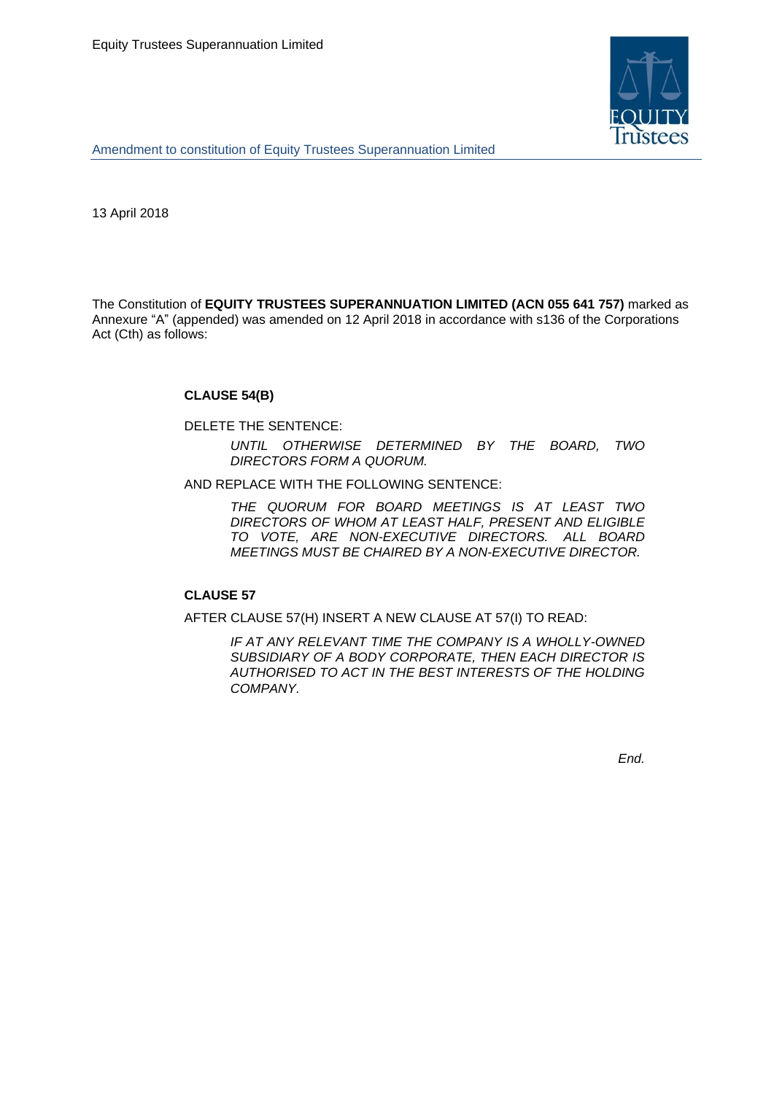

Amendment to constitution of Equity Trustees Superannuation Limited

13 April 2018

The Constitution of **EQUITY TRUSTEES SUPERANNUATION LIMITED (ACN 055 641 757)** marked as Annexure "A" (appended) was amended on 12 April 2018 in accordance with s136 of the Corporations Act (Cth) as follows:

# **CLAUSE 54(B)**

DELETE THE SENTENCE:

*UNTIL OTHERWISE DETERMINED BY THE BOARD, TWO DIRECTORS FORM A QUORUM.*

AND REPLACE WITH THE FOLLOWING SENTENCE:

*THE QUORUM FOR BOARD MEETINGS IS AT LEAST TWO DIRECTORS OF WHOM AT LEAST HALF, PRESENT AND ELIGIBLE TO VOTE, ARE NON-EXECUTIVE DIRECTORS. ALL BOARD MEETINGS MUST BE CHAIRED BY A NON-EXECUTIVE DIRECTOR.*

# **CLAUSE 57**

AFTER CLAUSE 57(H) INSERT A NEW CLAUSE AT 57(I) TO READ:

*IF AT ANY RELEVANT TIME THE COMPANY IS A WHOLLY-OWNED SUBSIDIARY OF A BODY CORPORATE, THEN EACH DIRECTOR IS AUTHORISED TO ACT IN THE BEST INTERESTS OF THE HOLDING COMPANY.*

*End.*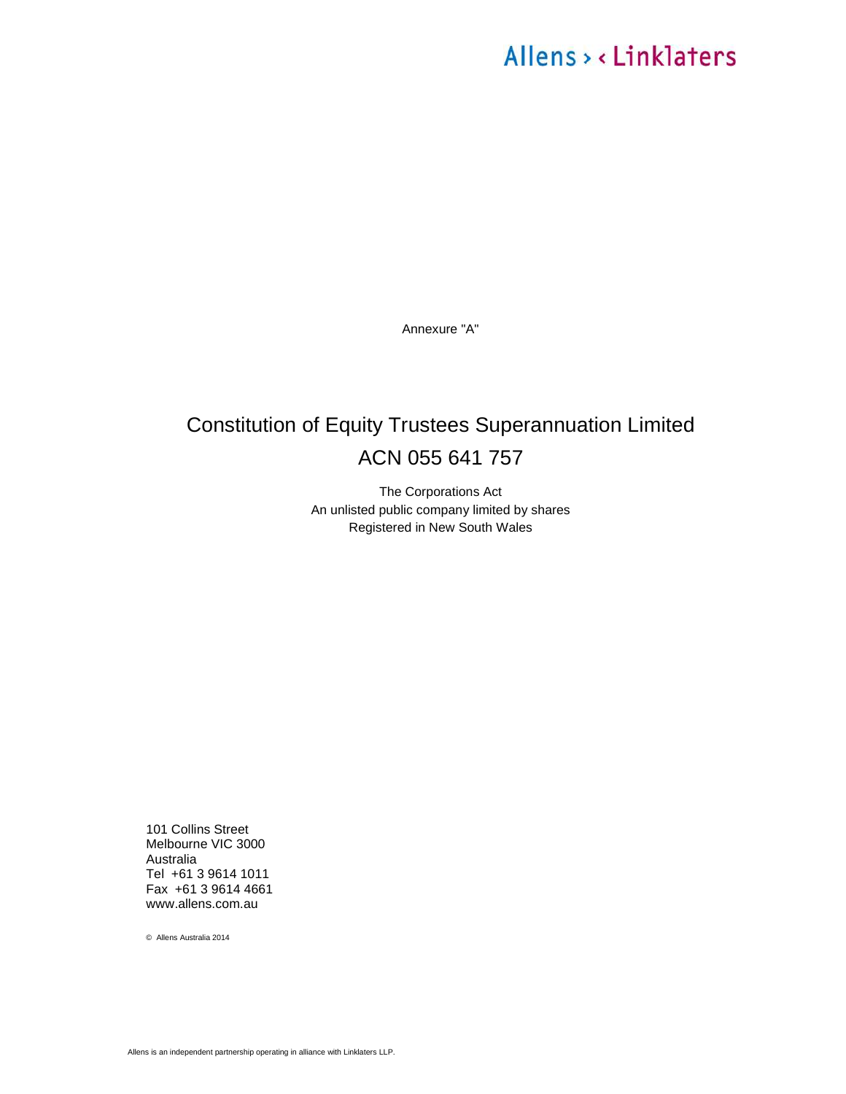# Allens > < Linklaters

Annexure "A"

# Constitution of Equity Trustees Superannuation Limited ACN 055 641 757

The Corporations Act An unlisted public company limited by shares Registered in New South Wales

101 Collins Street Melbourne VIC 3000 Australia Tel +61 3 9614 1011 Fax +61 3 9614 4661 www.allens.com.au

© Allens Australia 2014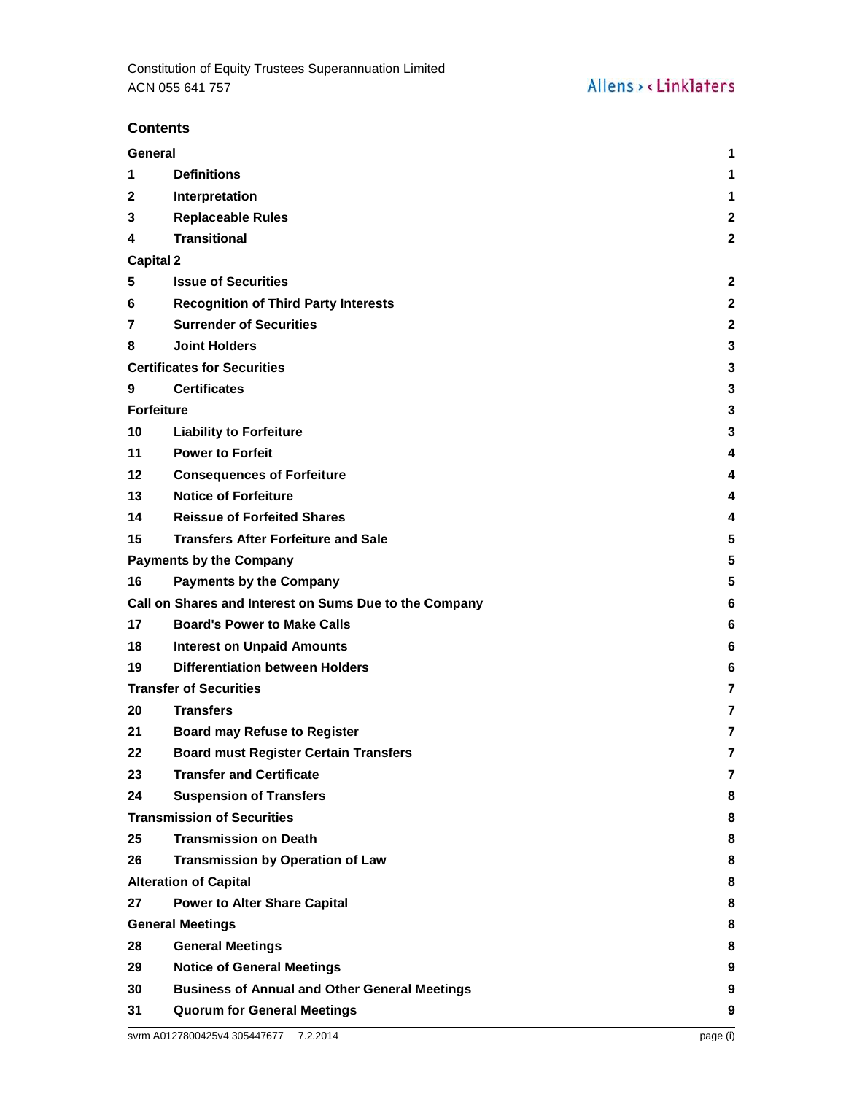# **Contents**

| General<br>1                       |                                                        |                |
|------------------------------------|--------------------------------------------------------|----------------|
| 1                                  | <b>Definitions</b>                                     | 1              |
| $\mathbf{2}$                       | Interpretation                                         | 1              |
| 3                                  | <b>Replaceable Rules</b>                               | $\mathbf{2}$   |
| 4                                  | <b>Transitional</b>                                    | $\mathbf{2}$   |
| <b>Capital 2</b>                   |                                                        |                |
| 5                                  | <b>Issue of Securities</b>                             | $\mathbf{2}$   |
| 6                                  | <b>Recognition of Third Party Interests</b>            | $\mathbf{2}$   |
| 7                                  | <b>Surrender of Securities</b>                         | $\mathbf{2}$   |
| 8                                  | <b>Joint Holders</b>                                   | 3              |
| <b>Certificates for Securities</b> |                                                        |                |
| 9                                  | <b>Certificates</b>                                    | 3              |
| <b>Forfeiture</b>                  |                                                        | 3              |
| 10                                 | <b>Liability to Forfeiture</b>                         | 3              |
| 11                                 | <b>Power to Forfeit</b>                                | 4              |
| 12                                 | <b>Consequences of Forfeiture</b>                      | 4              |
| 13                                 | <b>Notice of Forfeiture</b>                            | 4              |
| 14                                 | <b>Reissue of Forfeited Shares</b>                     | 4              |
| 15                                 | <b>Transfers After Forfeiture and Sale</b>             | 5              |
|                                    | <b>Payments by the Company</b>                         | 5              |
| 16                                 | <b>Payments by the Company</b>                         | 5              |
|                                    | Call on Shares and Interest on Sums Due to the Company | 6              |
| 17                                 | <b>Board's Power to Make Calls</b>                     | 6              |
| 18                                 | <b>Interest on Unpaid Amounts</b>                      | 6              |
| 19                                 | <b>Differentiation between Holders</b>                 | 6              |
|                                    | <b>Transfer of Securities</b>                          | $\overline{7}$ |
| 20                                 | <b>Transfers</b>                                       | 7              |
| 21                                 | <b>Board may Refuse to Register</b>                    | 7              |
| 22                                 | <b>Board must Register Certain Transfers</b>           | 7              |
| 23                                 | <b>Transfer and Certificate</b>                        | 7              |
| 24                                 | <b>Suspension of Transfers</b>                         | 8              |
|                                    | <b>Transmission of Securities</b>                      | 8              |
| 25                                 | <b>Transmission on Death</b>                           | 8              |
| 26                                 | <b>Transmission by Operation of Law</b>                | 8              |
|                                    | <b>Alteration of Capital</b>                           | 8              |
| 27                                 | <b>Power to Alter Share Capital</b>                    | 8              |
|                                    | <b>General Meetings</b>                                | 8              |
| 28                                 | <b>General Meetings</b>                                | 8              |
| 29                                 | <b>Notice of General Meetings</b>                      | 9              |
| 30                                 | <b>Business of Annual and Other General Meetings</b>   | 9              |
| 31                                 | <b>Quorum for General Meetings</b>                     | 9              |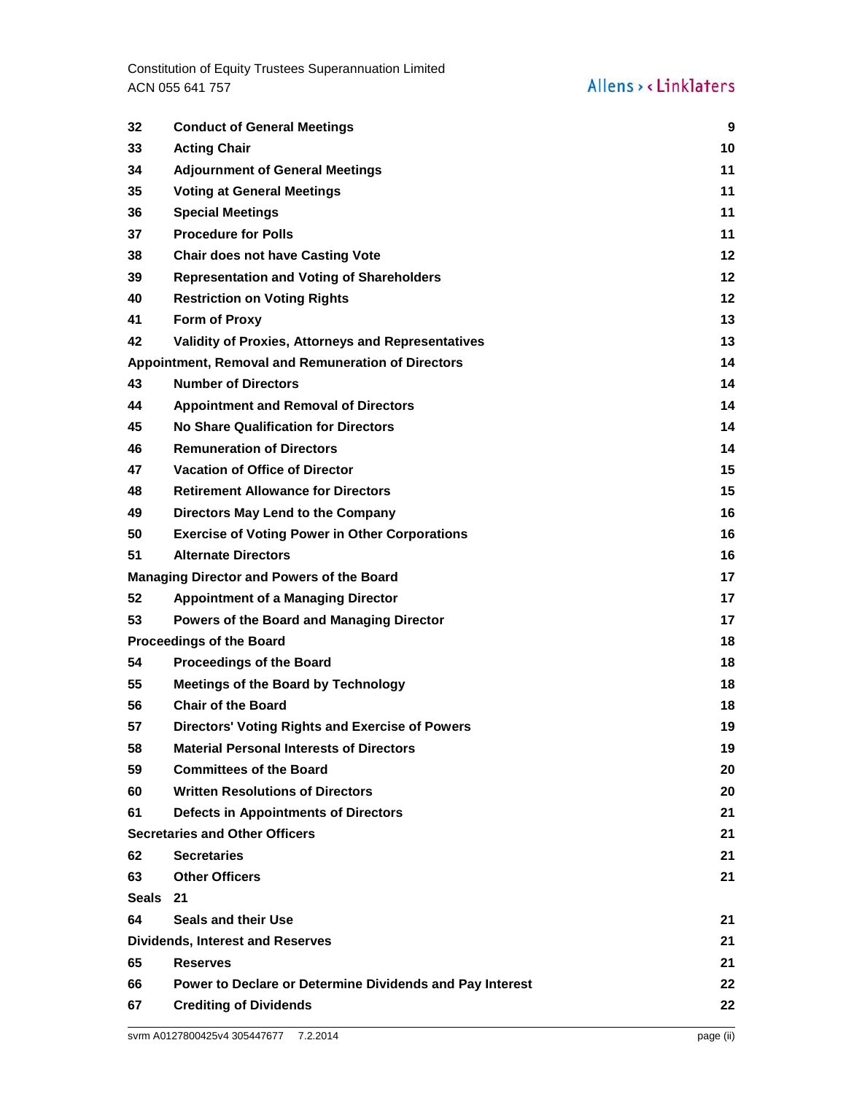Constitution of Equity Trustees Superannuation Limited ACN 055 641 757

| 32                                      | <b>Conduct of General Meetings</b>                       | 9       |
|-----------------------------------------|----------------------------------------------------------|---------|
| 33                                      | <b>Acting Chair</b>                                      | 10      |
| 34                                      | <b>Adjournment of General Meetings</b>                   | 11      |
| 35                                      | <b>Voting at General Meetings</b>                        | 11      |
| 36                                      | <b>Special Meetings</b>                                  | 11      |
| 37                                      | <b>Procedure for Polls</b>                               | 11      |
| 38                                      | <b>Chair does not have Casting Vote</b>                  | $12 \,$ |
| 39                                      | <b>Representation and Voting of Shareholders</b>         | $12 \,$ |
| 40                                      | <b>Restriction on Voting Rights</b>                      | 12      |
| 41                                      | Form of Proxy                                            | 13      |
| 42                                      | Validity of Proxies, Attorneys and Representatives       | 13      |
|                                         | Appointment, Removal and Remuneration of Directors       | 14      |
| 43                                      | <b>Number of Directors</b>                               | 14      |
| 44                                      | <b>Appointment and Removal of Directors</b>              | 14      |
| 45                                      | <b>No Share Qualification for Directors</b>              | 14      |
| 46                                      | <b>Remuneration of Directors</b>                         | 14      |
| 47                                      | <b>Vacation of Office of Director</b>                    | 15      |
| 48                                      | <b>Retirement Allowance for Directors</b>                | 15      |
| 49                                      | Directors May Lend to the Company                        | 16      |
| 50                                      | <b>Exercise of Voting Power in Other Corporations</b>    | 16      |
| 51                                      | <b>Alternate Directors</b>                               | 16      |
|                                         | <b>Managing Director and Powers of the Board</b>         | 17      |
| 52                                      | <b>Appointment of a Managing Director</b>                | 17      |
| 53                                      | Powers of the Board and Managing Director                | 17      |
| <b>Proceedings of the Board</b>         |                                                          | 18      |
| 54                                      | <b>Proceedings of the Board</b>                          | 18      |
| 55                                      | <b>Meetings of the Board by Technology</b>               | 18      |
| 56                                      | <b>Chair of the Board</b>                                | 18      |
| 57                                      | <b>Directors' Voting Rights and Exercise of Powers</b>   | 19      |
| 58                                      | <b>Material Personal Interests of Directors</b>          | 19      |
| 59                                      | <b>Committees of the Board</b>                           | 20      |
| 60                                      | <b>Written Resolutions of Directors</b>                  | 20      |
| 61                                      | <b>Defects in Appointments of Directors</b>              | 21      |
|                                         | <b>Secretaries and Other Officers</b>                    | 21      |
| 62                                      | <b>Secretaries</b>                                       | 21      |
| 63                                      | <b>Other Officers</b>                                    | 21      |
| Seals                                   | 21                                                       |         |
| 64                                      | <b>Seals and their Use</b>                               | 21      |
| <b>Dividends, Interest and Reserves</b> |                                                          | 21      |
| 65                                      | <b>Reserves</b>                                          | 21      |
| 66                                      | Power to Declare or Determine Dividends and Pay Interest | 22      |
| 67                                      | <b>Crediting of Dividends</b>                            | 22      |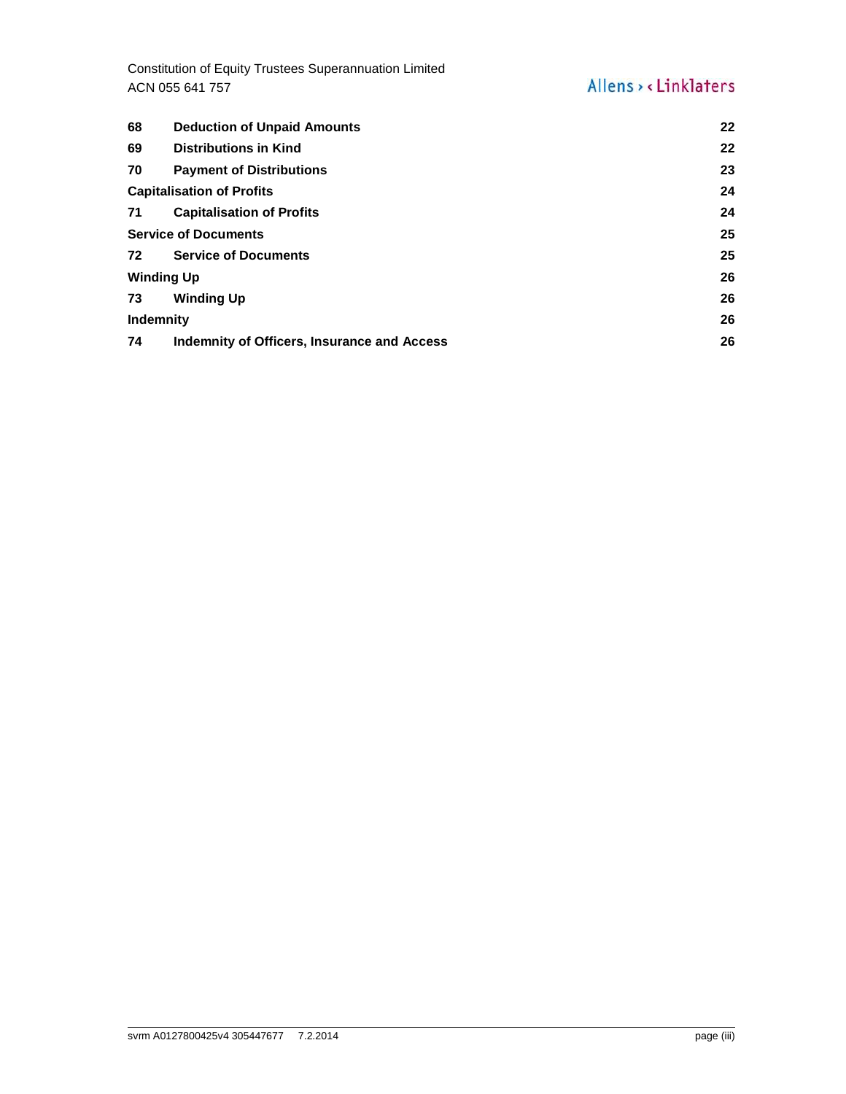Constitution of Equity Trustees Superannuation Limited ACN 055 641 757

# Allens > < Linklaters

| 68                               | <b>Deduction of Unpaid Amounts</b>          | $22 \,$ |
|----------------------------------|---------------------------------------------|---------|
| 69                               | <b>Distributions in Kind</b>                | 22      |
| 70                               | <b>Payment of Distributions</b>             | 23      |
| <b>Capitalisation of Profits</b> |                                             | 24      |
| 71                               | <b>Capitalisation of Profits</b>            | 24      |
| <b>Service of Documents</b>      |                                             | 25      |
| 72                               | <b>Service of Documents</b>                 | 25      |
| <b>Winding Up</b>                |                                             | 26      |
| 73                               | <b>Winding Up</b>                           | 26      |
| <b>Indemnity</b>                 |                                             | 26      |
| 74                               | Indemnity of Officers, Insurance and Access | 26      |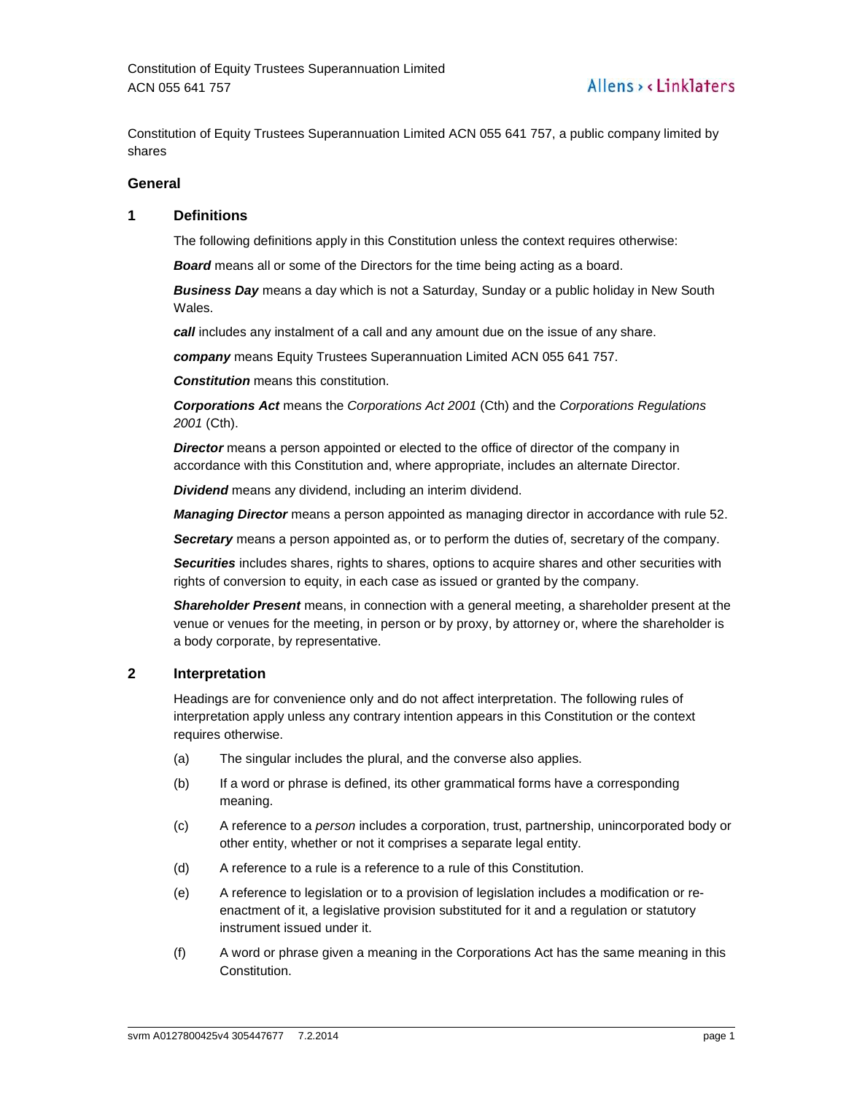Constitution of Equity Trustees Superannuation Limited ACN 055 641 757, a public company limited by shares

# **General**

# **1 Definitions**

The following definitions apply in this Constitution unless the context requires otherwise:

**Board** means all or some of the Directors for the time being acting as a board.

**Business Day** means a day which is not a Saturday, Sunday or a public holiday in New South Wales.

**call** includes any instalment of a call and any amount due on the issue of any share.

**company** means Equity Trustees Superannuation Limited ACN 055 641 757.

**Constitution** means this constitution.

**Corporations Act** means the Corporations Act 2001 (Cth) and the Corporations Regulations 2001 (Cth).

**Director** means a person appointed or elected to the office of director of the company in accordance with this Constitution and, where appropriate, includes an alternate Director.

**Dividend** means any dividend, including an interim dividend.

**Managing Director** means a person appointed as managing director in accordance with rule 52.

**Secretary** means a person appointed as, or to perform the duties of, secretary of the company.

**Securities** includes shares, rights to shares, options to acquire shares and other securities with rights of conversion to equity, in each case as issued or granted by the company.

**Shareholder Present** means, in connection with a general meeting, a shareholder present at the venue or venues for the meeting, in person or by proxy, by attorney or, where the shareholder is a body corporate, by representative.

# **2 Interpretation**

Headings are for convenience only and do not affect interpretation. The following rules of interpretation apply unless any contrary intention appears in this Constitution or the context requires otherwise.

- (a) The singular includes the plural, and the converse also applies.
- (b) If a word or phrase is defined, its other grammatical forms have a corresponding meaning.
- (c) A reference to a person includes a corporation, trust, partnership, unincorporated body or other entity, whether or not it comprises a separate legal entity.
- (d) A reference to a rule is a reference to a rule of this Constitution.
- (e) A reference to legislation or to a provision of legislation includes a modification or reenactment of it, a legislative provision substituted for it and a regulation or statutory instrument issued under it.
- (f) A word or phrase given a meaning in the Corporations Act has the same meaning in this Constitution.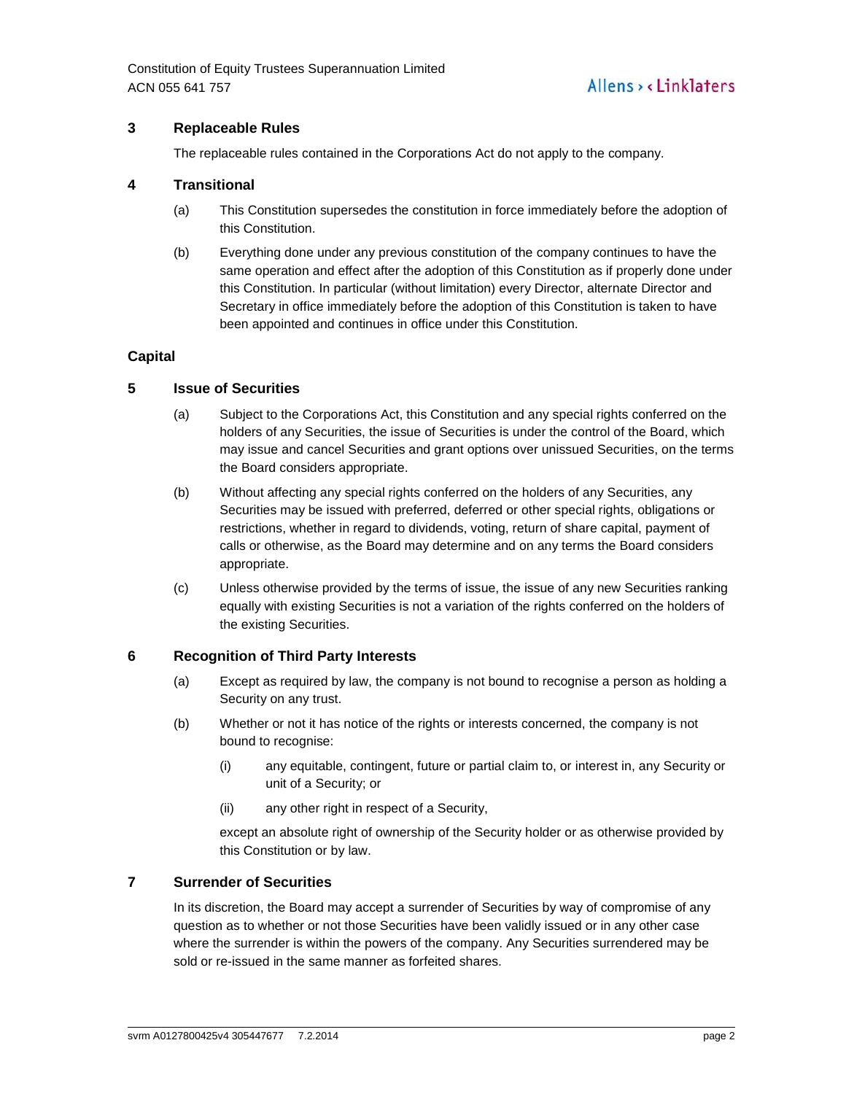Constitution of Equity Trustees Superannuation Limited ACN 055 641 757

# **3 Replaceable Rules**

The replaceable rules contained in the Corporations Act do not apply to the company.

# **4 Transitional**

- (a) This Constitution supersedes the constitution in force immediately before the adoption of this Constitution.
- (b) Everything done under any previous constitution of the company continues to have the same operation and effect after the adoption of this Constitution as if properly done under this Constitution. In particular (without limitation) every Director, alternate Director and Secretary in office immediately before the adoption of this Constitution is taken to have been appointed and continues in office under this Constitution.

# **Capital**

# **5 Issue of Securities**

- (a) Subject to the Corporations Act, this Constitution and any special rights conferred on the holders of any Securities, the issue of Securities is under the control of the Board, which may issue and cancel Securities and grant options over unissued Securities, on the terms the Board considers appropriate.
- (b) Without affecting any special rights conferred on the holders of any Securities, any Securities may be issued with preferred, deferred or other special rights, obligations or restrictions, whether in regard to dividends, voting, return of share capital, payment of calls or otherwise, as the Board may determine and on any terms the Board considers appropriate.
- (c) Unless otherwise provided by the terms of issue, the issue of any new Securities ranking equally with existing Securities is not a variation of the rights conferred on the holders of the existing Securities.

# **6 Recognition of Third Party Interests**

- (a) Except as required by law, the company is not bound to recognise a person as holding a Security on any trust.
- (b) Whether or not it has notice of the rights or interests concerned, the company is not bound to recognise:
	- (i) any equitable, contingent, future or partial claim to, or interest in, any Security or unit of a Security; or
	- (ii) any other right in respect of a Security,

except an absolute right of ownership of the Security holder or as otherwise provided by this Constitution or by law.

# **7 Surrender of Securities**

In its discretion, the Board may accept a surrender of Securities by way of compromise of any question as to whether or not those Securities have been validly issued or in any other case where the surrender is within the powers of the company. Any Securities surrendered may be sold or re-issued in the same manner as forfeited shares.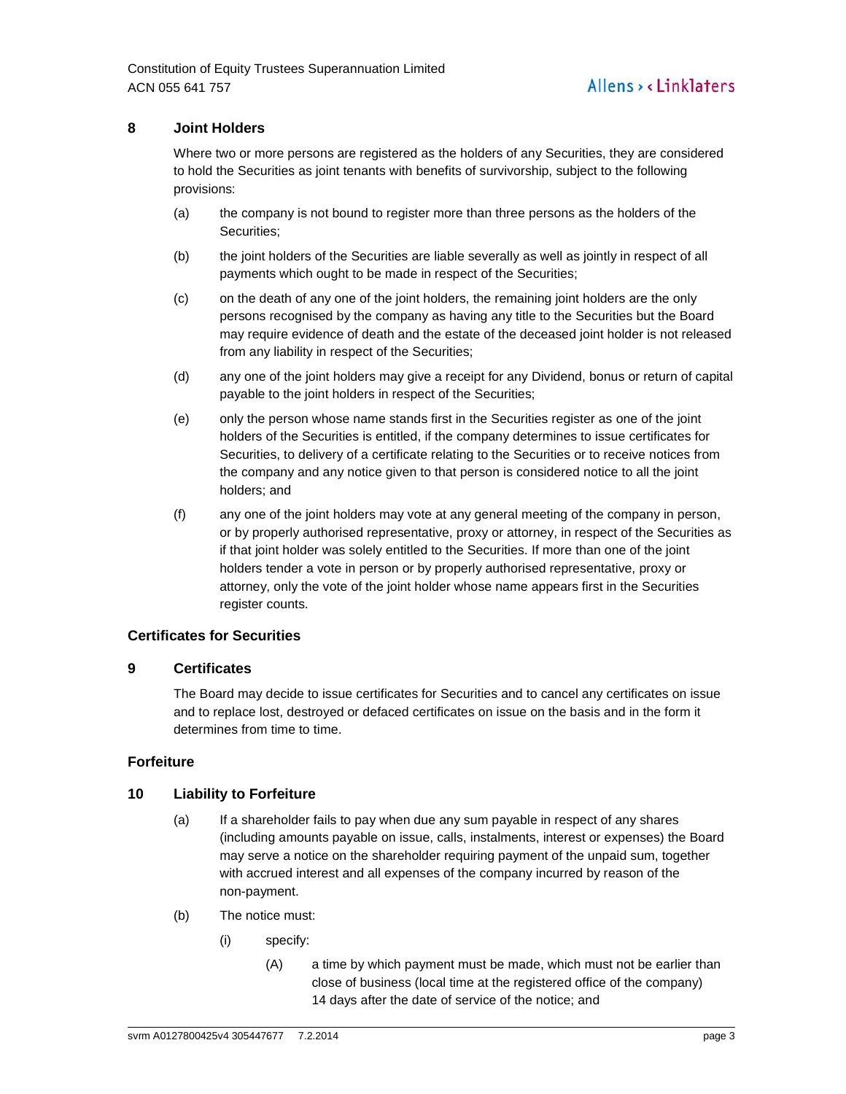# **8 Joint Holders**

Where two or more persons are registered as the holders of any Securities, they are considered to hold the Securities as joint tenants with benefits of survivorship, subject to the following provisions:

- (a) the company is not bound to register more than three persons as the holders of the Securities;
- (b) the joint holders of the Securities are liable severally as well as jointly in respect of all payments which ought to be made in respect of the Securities;
- (c) on the death of any one of the joint holders, the remaining joint holders are the only persons recognised by the company as having any title to the Securities but the Board may require evidence of death and the estate of the deceased joint holder is not released from any liability in respect of the Securities;
- (d) any one of the joint holders may give a receipt for any Dividend, bonus or return of capital payable to the joint holders in respect of the Securities;
- (e) only the person whose name stands first in the Securities register as one of the joint holders of the Securities is entitled, if the company determines to issue certificates for Securities, to delivery of a certificate relating to the Securities or to receive notices from the company and any notice given to that person is considered notice to all the joint holders; and
- (f) any one of the joint holders may vote at any general meeting of the company in person, or by properly authorised representative, proxy or attorney, in respect of the Securities as if that joint holder was solely entitled to the Securities. If more than one of the joint holders tender a vote in person or by properly authorised representative, proxy or attorney, only the vote of the joint holder whose name appears first in the Securities register counts.

# **Certificates for Securities**

# **9 Certificates**

The Board may decide to issue certificates for Securities and to cancel any certificates on issue and to replace lost, destroyed or defaced certificates on issue on the basis and in the form it determines from time to time.

# **Forfeiture**

# **10 Liability to Forfeiture**

- (a) If a shareholder fails to pay when due any sum payable in respect of any shares (including amounts payable on issue, calls, instalments, interest or expenses) the Board may serve a notice on the shareholder requiring payment of the unpaid sum, together with accrued interest and all expenses of the company incurred by reason of the non-payment.
- (b) The notice must:
	- (i) specify:
		- (A) a time by which payment must be made, which must not be earlier than close of business (local time at the registered office of the company) 14 days after the date of service of the notice; and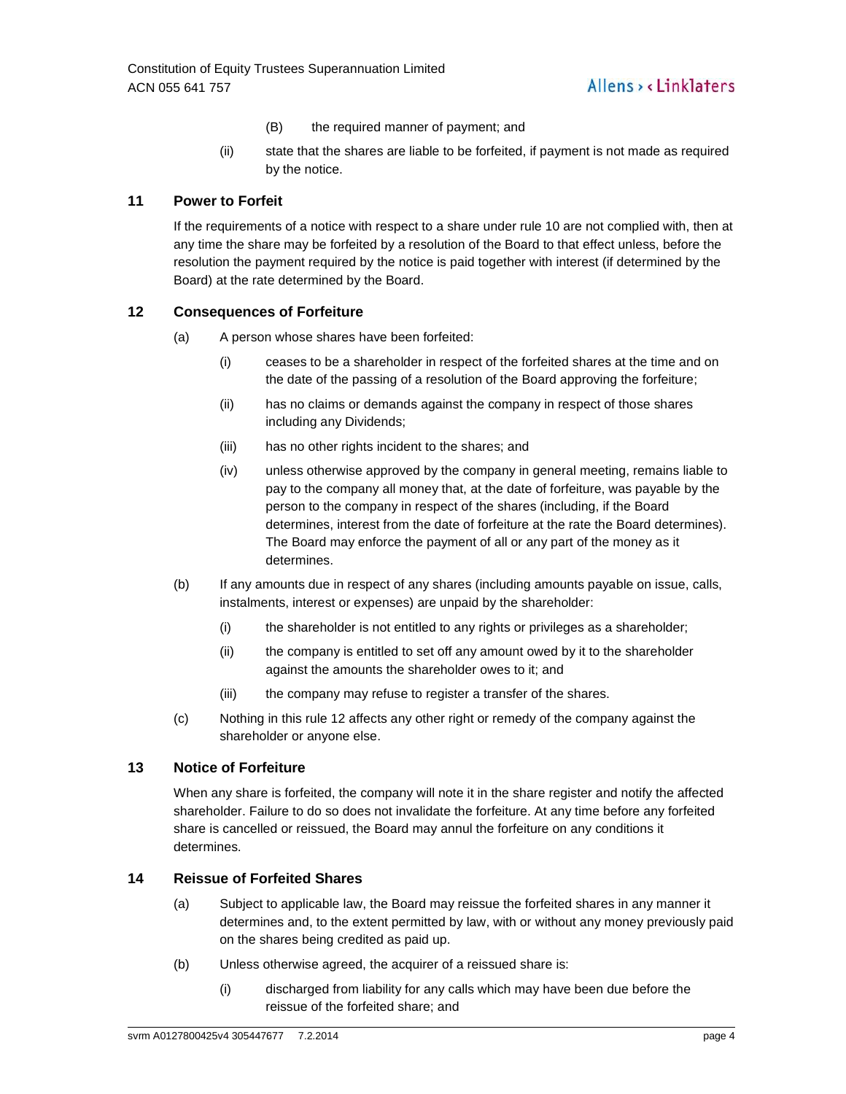- (B) the required manner of payment; and
- (ii) state that the shares are liable to be forfeited, if payment is not made as required by the notice.

# **11 Power to Forfeit**

If the requirements of a notice with respect to a share under rule 10 are not complied with, then at any time the share may be forfeited by a resolution of the Board to that effect unless, before the resolution the payment required by the notice is paid together with interest (if determined by the Board) at the rate determined by the Board.

# **12 Consequences of Forfeiture**

- (a) A person whose shares have been forfeited:
	- (i) ceases to be a shareholder in respect of the forfeited shares at the time and on the date of the passing of a resolution of the Board approving the forfeiture;
	- (ii) has no claims or demands against the company in respect of those shares including any Dividends;
	- (iii) has no other rights incident to the shares; and
	- (iv) unless otherwise approved by the company in general meeting, remains liable to pay to the company all money that, at the date of forfeiture, was payable by the person to the company in respect of the shares (including, if the Board determines, interest from the date of forfeiture at the rate the Board determines). The Board may enforce the payment of all or any part of the money as it determines.
- (b) If any amounts due in respect of any shares (including amounts payable on issue, calls, instalments, interest or expenses) are unpaid by the shareholder:
	- (i) the shareholder is not entitled to any rights or privileges as a shareholder;
	- (ii) the company is entitled to set off any amount owed by it to the shareholder against the amounts the shareholder owes to it; and
	- (iii) the company may refuse to register a transfer of the shares.
- (c) Nothing in this rule 12 affects any other right or remedy of the company against the shareholder or anyone else.

# **13 Notice of Forfeiture**

When any share is forfeited, the company will note it in the share register and notify the affected shareholder. Failure to do so does not invalidate the forfeiture. At any time before any forfeited share is cancelled or reissued, the Board may annul the forfeiture on any conditions it determines.

# **14 Reissue of Forfeited Shares**

- (a) Subject to applicable law, the Board may reissue the forfeited shares in any manner it determines and, to the extent permitted by law, with or without any money previously paid on the shares being credited as paid up.
- (b) Unless otherwise agreed, the acquirer of a reissued share is:
	- (i) discharged from liability for any calls which may have been due before the reissue of the forfeited share; and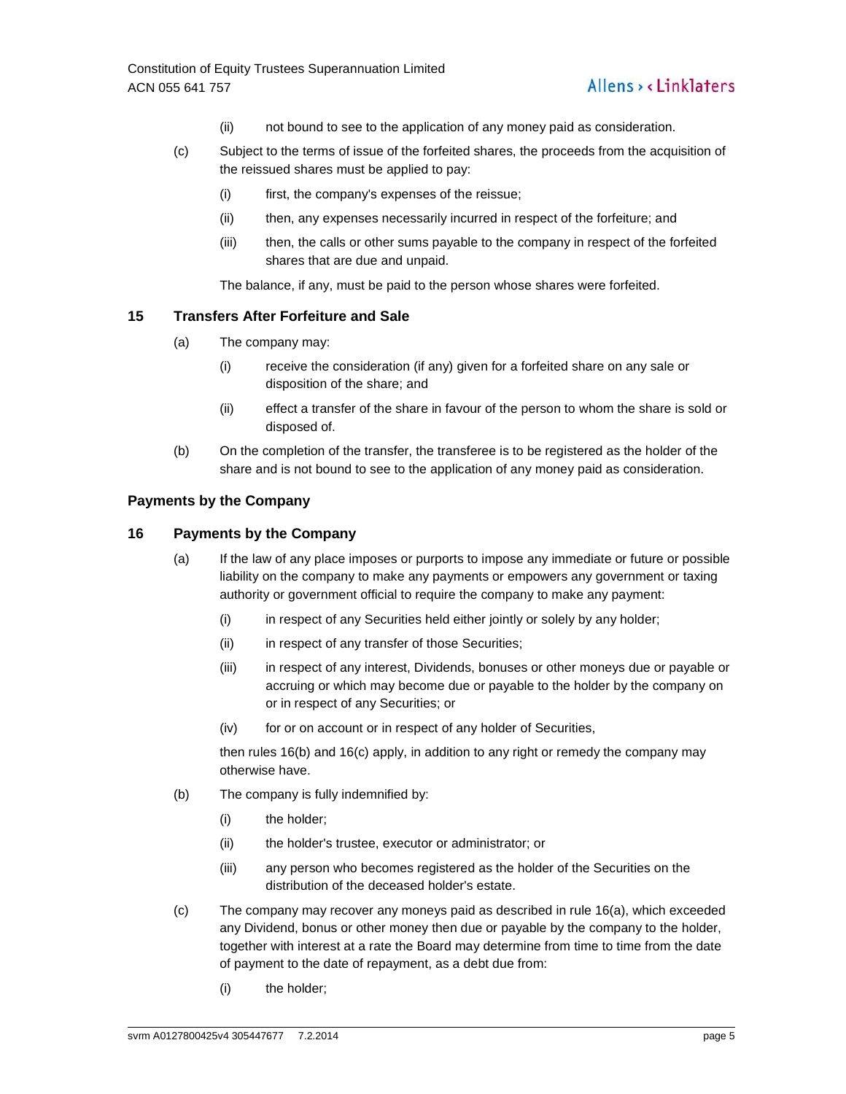- (ii) not bound to see to the application of any money paid as consideration.
- (c) Subject to the terms of issue of the forfeited shares, the proceeds from the acquisition of the reissued shares must be applied to pay:
	- (i) first, the company's expenses of the reissue;
	- (ii) then, any expenses necessarily incurred in respect of the forfeiture; and
	- (iii) then, the calls or other sums payable to the company in respect of the forfeited shares that are due and unpaid.

The balance, if any, must be paid to the person whose shares were forfeited.

# **15 Transfers After Forfeiture and Sale**

- (a) The company may:
	- (i) receive the consideration (if any) given for a forfeited share on any sale or disposition of the share; and
	- (ii) effect a transfer of the share in favour of the person to whom the share is sold or disposed of.
- (b) On the completion of the transfer, the transferee is to be registered as the holder of the share and is not bound to see to the application of any money paid as consideration.

#### **Payments by the Company**

# **16 Payments by the Company**

- (a) If the law of any place imposes or purports to impose any immediate or future or possible liability on the company to make any payments or empowers any government or taxing authority or government official to require the company to make any payment:
	- (i) in respect of any Securities held either jointly or solely by any holder;
	- (ii) in respect of any transfer of those Securities;
	- (iii) in respect of any interest, Dividends, bonuses or other moneys due or payable or accruing or which may become due or payable to the holder by the company on or in respect of any Securities; or
	- (iv) for or on account or in respect of any holder of Securities,

then rules 16(b) and 16(c) apply, in addition to any right or remedy the company may otherwise have.

- (b) The company is fully indemnified by:
	- (i) the holder;
	- (ii) the holder's trustee, executor or administrator; or
	- (iii) any person who becomes registered as the holder of the Securities on the distribution of the deceased holder's estate.
- (c) The company may recover any moneys paid as described in rule 16(a), which exceeded any Dividend, bonus or other money then due or payable by the company to the holder, together with interest at a rate the Board may determine from time to time from the date of payment to the date of repayment, as a debt due from:
	- (i) the holder;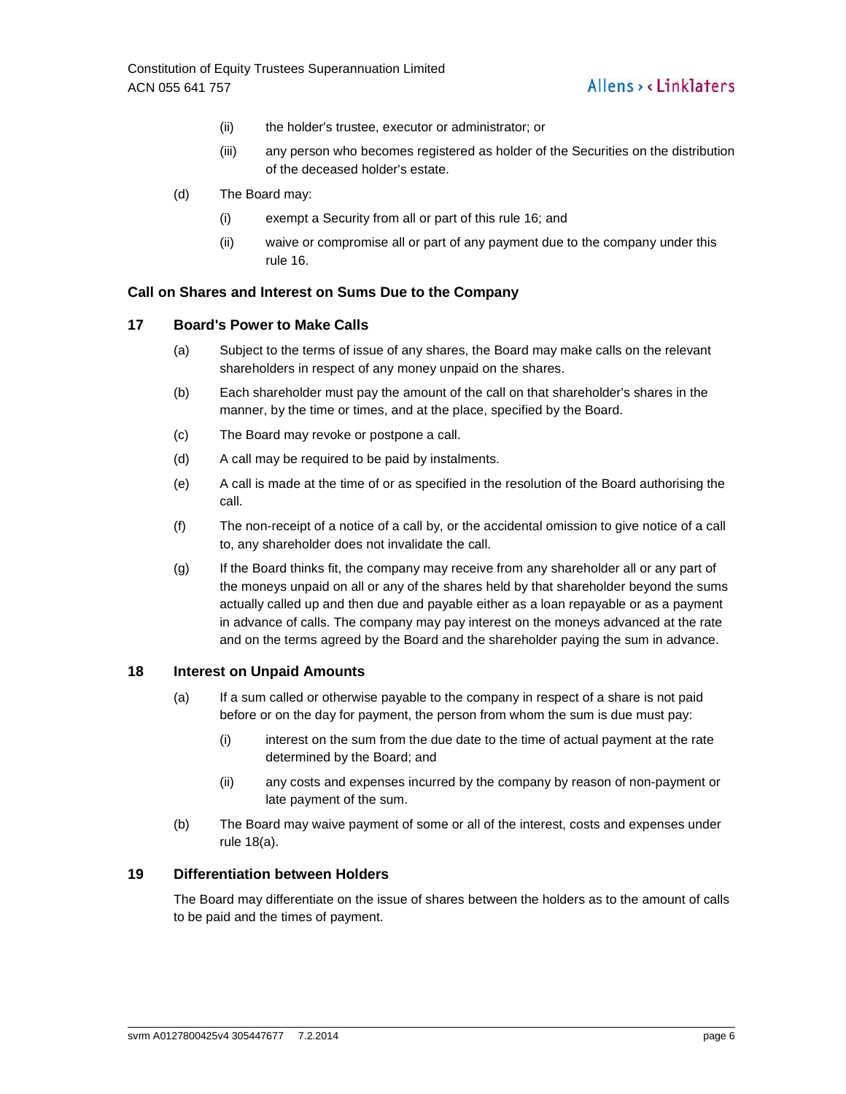- (ii) the holder's trustee, executor or administrator; or
- (iii) any person who becomes registered as holder of the Securities on the distribution of the deceased holder's estate.
- (d) The Board may:
	- (i) exempt a Security from all or part of this rule 16; and
	- (ii) waive or compromise all or part of any payment due to the company under this rule 16.

#### **Call on Shares and Interest on Sums Due to the Company**

#### **17 Board's Power to Make Calls**

- (a) Subject to the terms of issue of any shares, the Board may make calls on the relevant shareholders in respect of any money unpaid on the shares.
- (b) Each shareholder must pay the amount of the call on that shareholder's shares in the manner, by the time or times, and at the place, specified by the Board.
- (c) The Board may revoke or postpone a call.
- (d) A call may be required to be paid by instalments.
- (e) A call is made at the time of or as specified in the resolution of the Board authorising the call.
- (f) The non-receipt of a notice of a call by, or the accidental omission to give notice of a call to, any shareholder does not invalidate the call.
- (g) If the Board thinks fit, the company may receive from any shareholder all or any part of the moneys unpaid on all or any of the shares held by that shareholder beyond the sums actually called up and then due and payable either as a loan repayable or as a payment in advance of calls. The company may pay interest on the moneys advanced at the rate and on the terms agreed by the Board and the shareholder paying the sum in advance.

#### **18 Interest on Unpaid Amounts**

- (a) If a sum called or otherwise payable to the company in respect of a share is not paid before or on the day for payment, the person from whom the sum is due must pay:
	- (i) interest on the sum from the due date to the time of actual payment at the rate determined by the Board; and
	- (ii) any costs and expenses incurred by the company by reason of non-payment or late payment of the sum.
- (b) The Board may waive payment of some or all of the interest, costs and expenses under rule 18(a).

# **19 Differentiation between Holders**

The Board may differentiate on the issue of shares between the holders as to the amount of calls to be paid and the times of payment.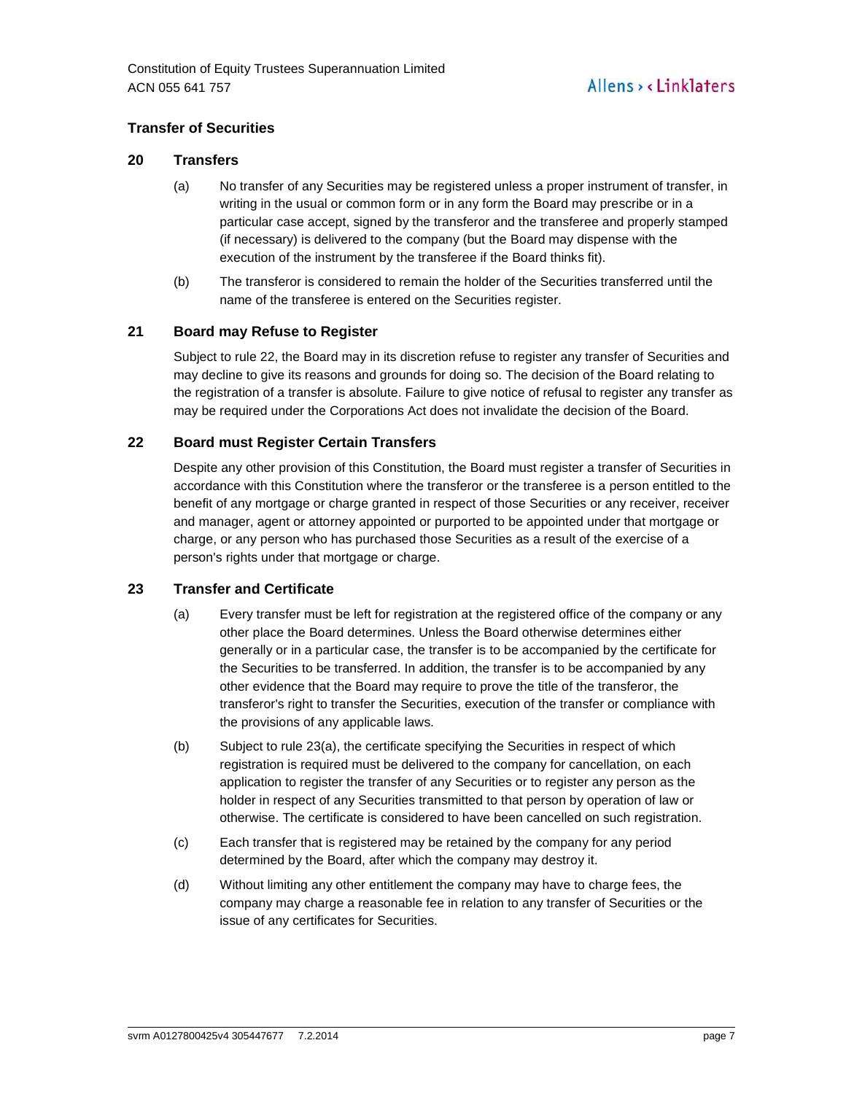# **Transfer of Securities**

# **20 Transfers**

- (a) No transfer of any Securities may be registered unless a proper instrument of transfer, in writing in the usual or common form or in any form the Board may prescribe or in a particular case accept, signed by the transferor and the transferee and properly stamped (if necessary) is delivered to the company (but the Board may dispense with the execution of the instrument by the transferee if the Board thinks fit).
- (b) The transferor is considered to remain the holder of the Securities transferred until the name of the transferee is entered on the Securities register.

# **21 Board may Refuse to Register**

Subject to rule 22, the Board may in its discretion refuse to register any transfer of Securities and may decline to give its reasons and grounds for doing so. The decision of the Board relating to the registration of a transfer is absolute. Failure to give notice of refusal to register any transfer as may be required under the Corporations Act does not invalidate the decision of the Board.

# **22 Board must Register Certain Transfers**

Despite any other provision of this Constitution, the Board must register a transfer of Securities in accordance with this Constitution where the transferor or the transferee is a person entitled to the benefit of any mortgage or charge granted in respect of those Securities or any receiver, receiver and manager, agent or attorney appointed or purported to be appointed under that mortgage or charge, or any person who has purchased those Securities as a result of the exercise of a person's rights under that mortgage or charge.

# **23 Transfer and Certificate**

- (a) Every transfer must be left for registration at the registered office of the company or any other place the Board determines. Unless the Board otherwise determines either generally or in a particular case, the transfer is to be accompanied by the certificate for the Securities to be transferred. In addition, the transfer is to be accompanied by any other evidence that the Board may require to prove the title of the transferor, the transferor's right to transfer the Securities, execution of the transfer or compliance with the provisions of any applicable laws.
- (b) Subject to rule 23(a), the certificate specifying the Securities in respect of which registration is required must be delivered to the company for cancellation, on each application to register the transfer of any Securities or to register any person as the holder in respect of any Securities transmitted to that person by operation of law or otherwise. The certificate is considered to have been cancelled on such registration.
- (c) Each transfer that is registered may be retained by the company for any period determined by the Board, after which the company may destroy it.
- (d) Without limiting any other entitlement the company may have to charge fees, the company may charge a reasonable fee in relation to any transfer of Securities or the issue of any certificates for Securities.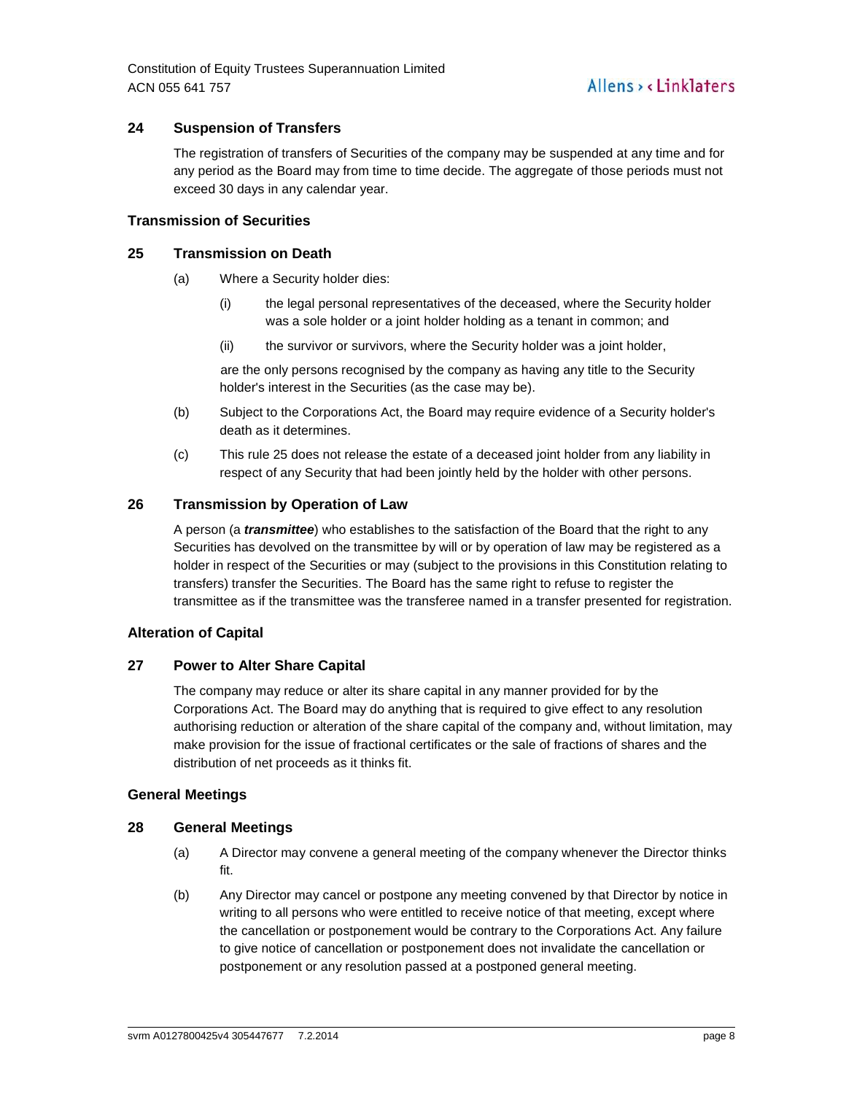# **24 Suspension of Transfers**

The registration of transfers of Securities of the company may be suspended at any time and for any period as the Board may from time to time decide. The aggregate of those periods must not exceed 30 days in any calendar year.

# **Transmission of Securities**

# **25 Transmission on Death**

- (a) Where a Security holder dies:
	- (i) the legal personal representatives of the deceased, where the Security holder was a sole holder or a joint holder holding as a tenant in common; and
	- (ii) the survivor or survivors, where the Security holder was a joint holder,

are the only persons recognised by the company as having any title to the Security holder's interest in the Securities (as the case may be).

- (b) Subject to the Corporations Act, the Board may require evidence of a Security holder's death as it determines.
- (c) This rule 25 does not release the estate of a deceased joint holder from any liability in respect of any Security that had been jointly held by the holder with other persons.

# **26 Transmission by Operation of Law**

A person (a **transmittee**) who establishes to the satisfaction of the Board that the right to any Securities has devolved on the transmittee by will or by operation of law may be registered as a holder in respect of the Securities or may (subject to the provisions in this Constitution relating to transfers) transfer the Securities. The Board has the same right to refuse to register the transmittee as if the transmittee was the transferee named in a transfer presented for registration.

# **Alteration of Capital**

# **27 Power to Alter Share Capital**

The company may reduce or alter its share capital in any manner provided for by the Corporations Act. The Board may do anything that is required to give effect to any resolution authorising reduction or alteration of the share capital of the company and, without limitation, may make provision for the issue of fractional certificates or the sale of fractions of shares and the distribution of net proceeds as it thinks fit.

# **General Meetings**

#### **28 General Meetings**

- (a) A Director may convene a general meeting of the company whenever the Director thinks fit.
- (b) Any Director may cancel or postpone any meeting convened by that Director by notice in writing to all persons who were entitled to receive notice of that meeting, except where the cancellation or postponement would be contrary to the Corporations Act. Any failure to give notice of cancellation or postponement does not invalidate the cancellation or postponement or any resolution passed at a postponed general meeting.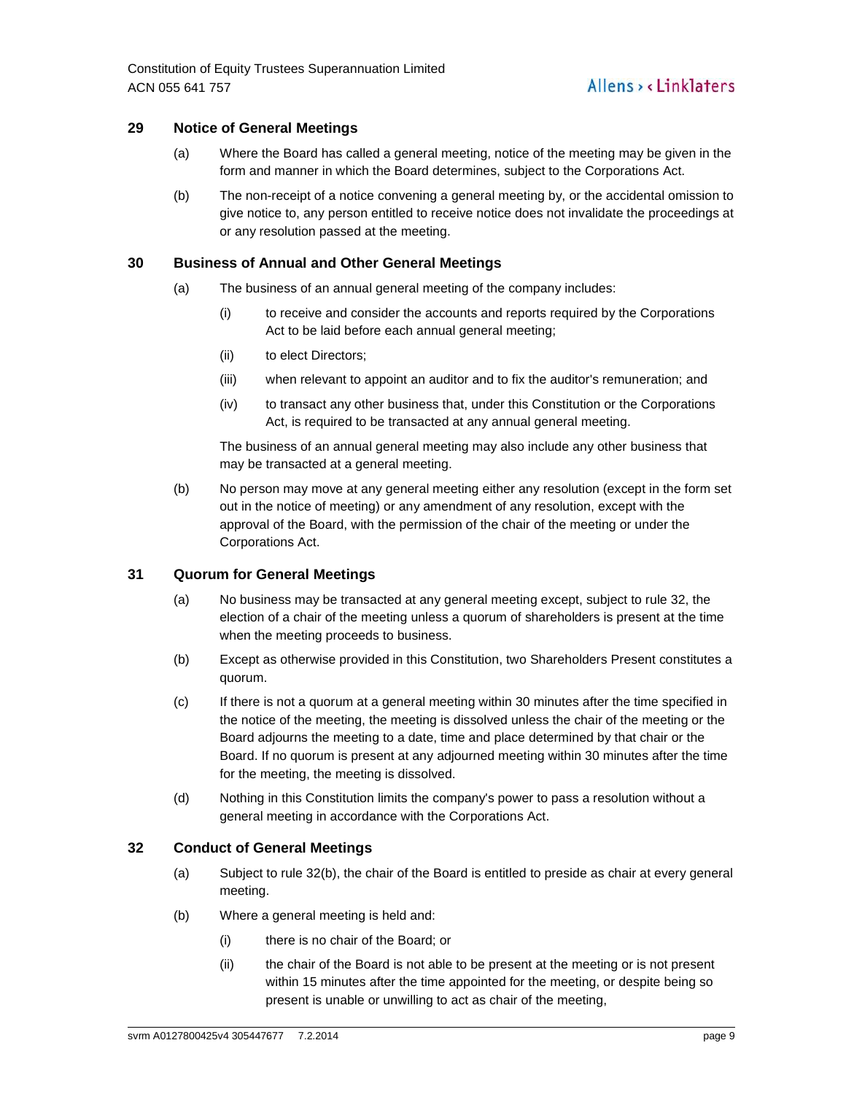# **29 Notice of General Meetings**

- (a) Where the Board has called a general meeting, notice of the meeting may be given in the form and manner in which the Board determines, subject to the Corporations Act.
- (b) The non-receipt of a notice convening a general meeting by, or the accidental omission to give notice to, any person entitled to receive notice does not invalidate the proceedings at or any resolution passed at the meeting.

# **30 Business of Annual and Other General Meetings**

- (a) The business of an annual general meeting of the company includes:
	- (i) to receive and consider the accounts and reports required by the Corporations Act to be laid before each annual general meeting;
	- (ii) to elect Directors;
	- (iii) when relevant to appoint an auditor and to fix the auditor's remuneration; and
	- (iv) to transact any other business that, under this Constitution or the Corporations Act, is required to be transacted at any annual general meeting.

The business of an annual general meeting may also include any other business that may be transacted at a general meeting.

(b) No person may move at any general meeting either any resolution (except in the form set out in the notice of meeting) or any amendment of any resolution, except with the approval of the Board, with the permission of the chair of the meeting or under the Corporations Act.

# **31 Quorum for General Meetings**

- (a) No business may be transacted at any general meeting except, subject to rule 32, the election of a chair of the meeting unless a quorum of shareholders is present at the time when the meeting proceeds to business.
- (b) Except as otherwise provided in this Constitution, two Shareholders Present constitutes a quorum.
- (c) If there is not a quorum at a general meeting within 30 minutes after the time specified in the notice of the meeting, the meeting is dissolved unless the chair of the meeting or the Board adjourns the meeting to a date, time and place determined by that chair or the Board. If no quorum is present at any adjourned meeting within 30 minutes after the time for the meeting, the meeting is dissolved.
- (d) Nothing in this Constitution limits the company's power to pass a resolution without a general meeting in accordance with the Corporations Act.

# **32 Conduct of General Meetings**

- (a) Subject to rule 32(b), the chair of the Board is entitled to preside as chair at every general meeting.
- (b) Where a general meeting is held and:
	- (i) there is no chair of the Board; or
	- (ii) the chair of the Board is not able to be present at the meeting or is not present within 15 minutes after the time appointed for the meeting, or despite being so present is unable or unwilling to act as chair of the meeting,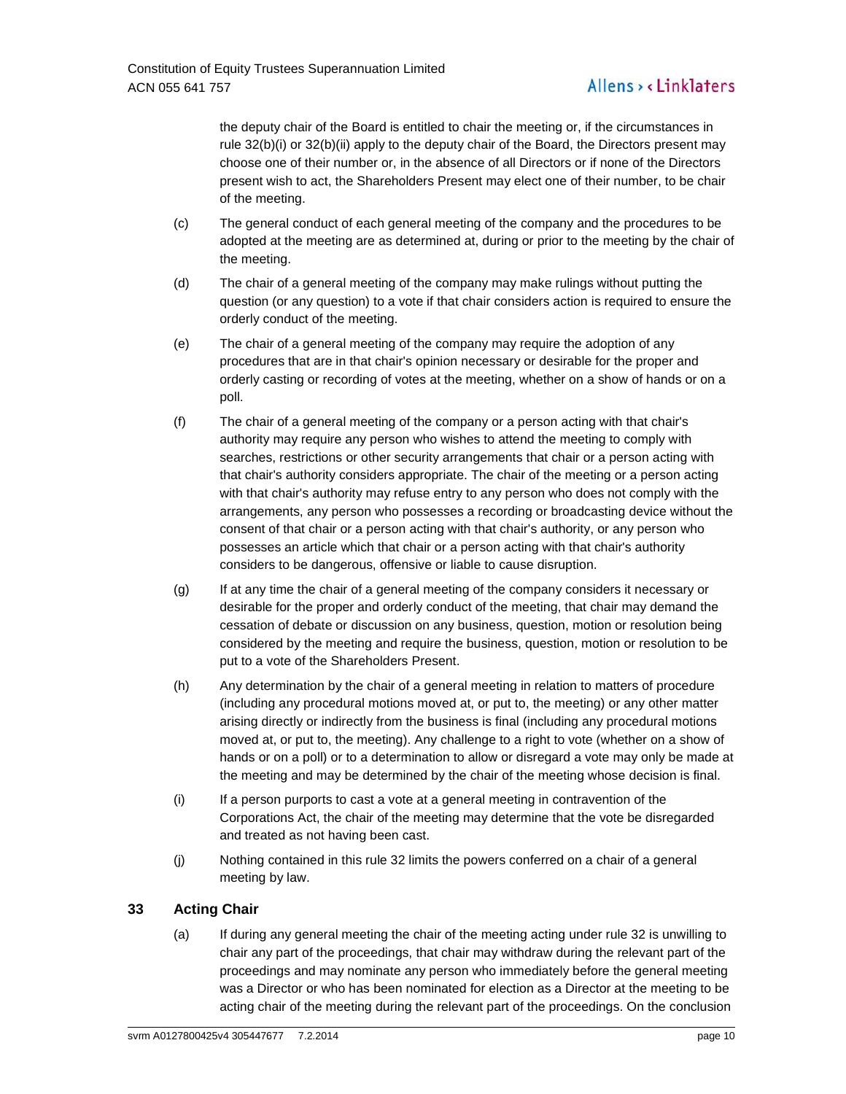# Allens > < Linklaters

the deputy chair of the Board is entitled to chair the meeting or, if the circumstances in rule 32(b)(i) or 32(b)(ii) apply to the deputy chair of the Board, the Directors present may choose one of their number or, in the absence of all Directors or if none of the Directors present wish to act, the Shareholders Present may elect one of their number, to be chair of the meeting.

- (c) The general conduct of each general meeting of the company and the procedures to be adopted at the meeting are as determined at, during or prior to the meeting by the chair of the meeting.
- (d) The chair of a general meeting of the company may make rulings without putting the question (or any question) to a vote if that chair considers action is required to ensure the orderly conduct of the meeting.
- (e) The chair of a general meeting of the company may require the adoption of any procedures that are in that chair's opinion necessary or desirable for the proper and orderly casting or recording of votes at the meeting, whether on a show of hands or on a poll.
- (f) The chair of a general meeting of the company or a person acting with that chair's authority may require any person who wishes to attend the meeting to comply with searches, restrictions or other security arrangements that chair or a person acting with that chair's authority considers appropriate. The chair of the meeting or a person acting with that chair's authority may refuse entry to any person who does not comply with the arrangements, any person who possesses a recording or broadcasting device without the consent of that chair or a person acting with that chair's authority, or any person who possesses an article which that chair or a person acting with that chair's authority considers to be dangerous, offensive or liable to cause disruption.
- (g) If at any time the chair of a general meeting of the company considers it necessary or desirable for the proper and orderly conduct of the meeting, that chair may demand the cessation of debate or discussion on any business, question, motion or resolution being considered by the meeting and require the business, question, motion or resolution to be put to a vote of the Shareholders Present.
- (h) Any determination by the chair of a general meeting in relation to matters of procedure (including any procedural motions moved at, or put to, the meeting) or any other matter arising directly or indirectly from the business is final (including any procedural motions moved at, or put to, the meeting). Any challenge to a right to vote (whether on a show of hands or on a poll) or to a determination to allow or disregard a vote may only be made at the meeting and may be determined by the chair of the meeting whose decision is final.
- (i) If a person purports to cast a vote at a general meeting in contravention of the Corporations Act, the chair of the meeting may determine that the vote be disregarded and treated as not having been cast.
- (j) Nothing contained in this rule 32 limits the powers conferred on a chair of a general meeting by law.

# **33 Acting Chair**

(a) If during any general meeting the chair of the meeting acting under rule 32 is unwilling to chair any part of the proceedings, that chair may withdraw during the relevant part of the proceedings and may nominate any person who immediately before the general meeting was a Director or who has been nominated for election as a Director at the meeting to be acting chair of the meeting during the relevant part of the proceedings. On the conclusion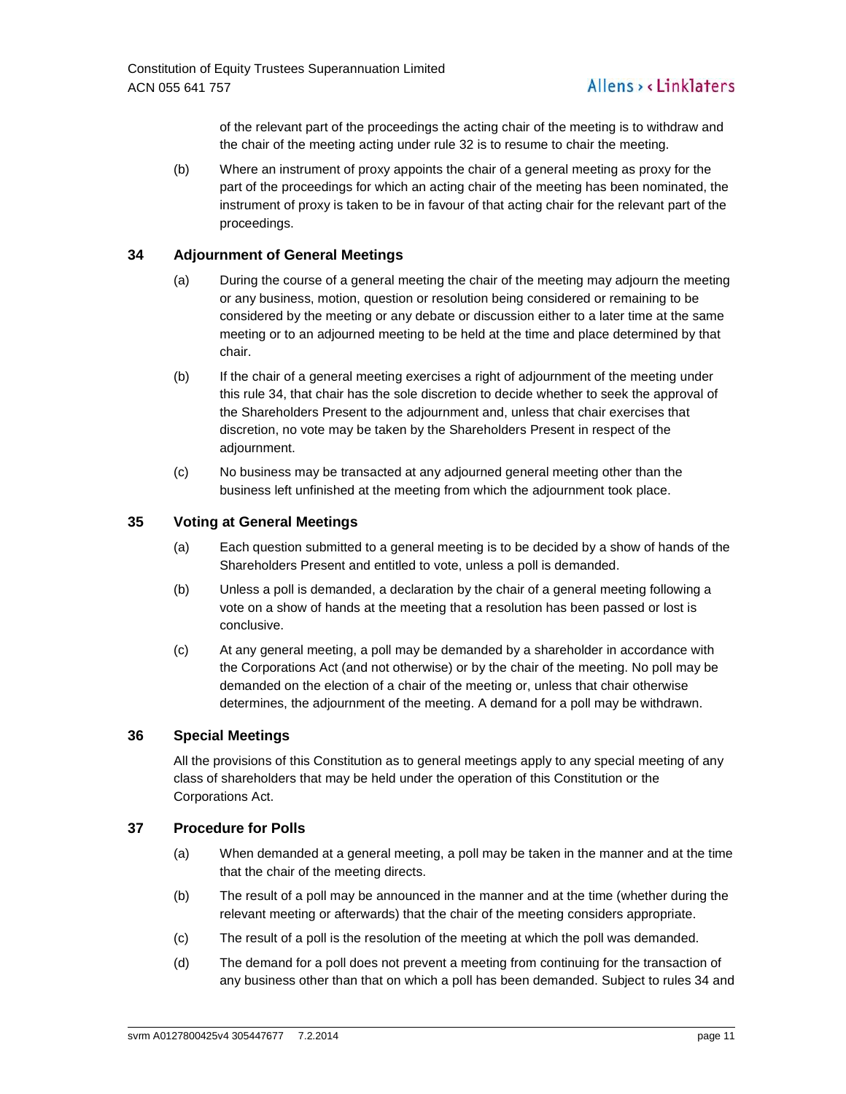of the relevant part of the proceedings the acting chair of the meeting is to withdraw and the chair of the meeting acting under rule 32 is to resume to chair the meeting.

(b) Where an instrument of proxy appoints the chair of a general meeting as proxy for the part of the proceedings for which an acting chair of the meeting has been nominated, the instrument of proxy is taken to be in favour of that acting chair for the relevant part of the proceedings.

# **34 Adjournment of General Meetings**

- (a) During the course of a general meeting the chair of the meeting may adjourn the meeting or any business, motion, question or resolution being considered or remaining to be considered by the meeting or any debate or discussion either to a later time at the same meeting or to an adjourned meeting to be held at the time and place determined by that chair.
- (b) If the chair of a general meeting exercises a right of adjournment of the meeting under this rule 34, that chair has the sole discretion to decide whether to seek the approval of the Shareholders Present to the adjournment and, unless that chair exercises that discretion, no vote may be taken by the Shareholders Present in respect of the adjournment.
- (c) No business may be transacted at any adjourned general meeting other than the business left unfinished at the meeting from which the adjournment took place.

# **35 Voting at General Meetings**

- (a) Each question submitted to a general meeting is to be decided by a show of hands of the Shareholders Present and entitled to vote, unless a poll is demanded.
- (b) Unless a poll is demanded, a declaration by the chair of a general meeting following a vote on a show of hands at the meeting that a resolution has been passed or lost is conclusive.
- (c) At any general meeting, a poll may be demanded by a shareholder in accordance with the Corporations Act (and not otherwise) or by the chair of the meeting. No poll may be demanded on the election of a chair of the meeting or, unless that chair otherwise determines, the adjournment of the meeting. A demand for a poll may be withdrawn.

# **36 Special Meetings**

All the provisions of this Constitution as to general meetings apply to any special meeting of any class of shareholders that may be held under the operation of this Constitution or the Corporations Act.

# **37 Procedure for Polls**

- (a) When demanded at a general meeting, a poll may be taken in the manner and at the time that the chair of the meeting directs.
- (b) The result of a poll may be announced in the manner and at the time (whether during the relevant meeting or afterwards) that the chair of the meeting considers appropriate.
- (c) The result of a poll is the resolution of the meeting at which the poll was demanded.
- (d) The demand for a poll does not prevent a meeting from continuing for the transaction of any business other than that on which a poll has been demanded. Subject to rules 34 and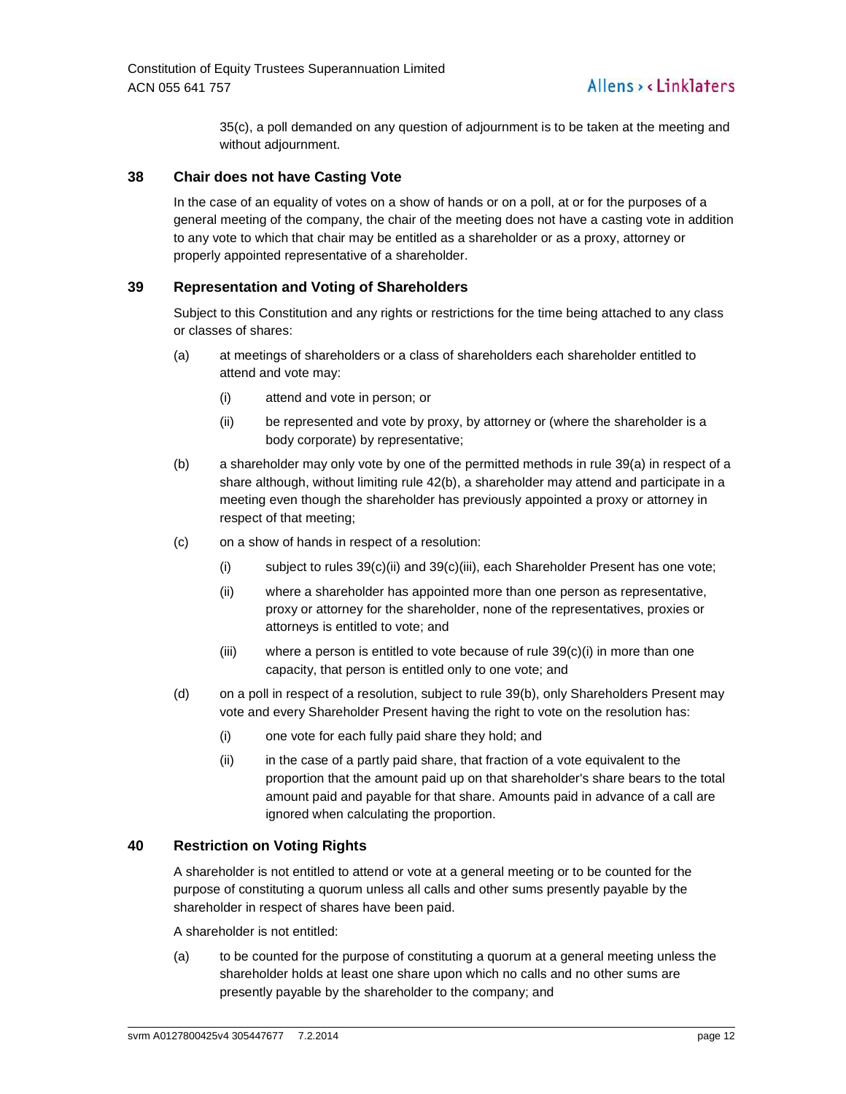35(c), a poll demanded on any question of adjournment is to be taken at the meeting and without adjournment.

# **38 Chair does not have Casting Vote**

In the case of an equality of votes on a show of hands or on a poll, at or for the purposes of a general meeting of the company, the chair of the meeting does not have a casting vote in addition to any vote to which that chair may be entitled as a shareholder or as a proxy, attorney or properly appointed representative of a shareholder.

# **39 Representation and Voting of Shareholders**

Subject to this Constitution and any rights or restrictions for the time being attached to any class or classes of shares:

- (a) at meetings of shareholders or a class of shareholders each shareholder entitled to attend and vote may:
	- (i) attend and vote in person; or
	- (ii) be represented and vote by proxy, by attorney or (where the shareholder is a body corporate) by representative;
- (b) a shareholder may only vote by one of the permitted methods in rule 39(a) in respect of a share although, without limiting rule 42(b), a shareholder may attend and participate in a meeting even though the shareholder has previously appointed a proxy or attorney in respect of that meeting;
- (c) on a show of hands in respect of a resolution:
	- (i) subject to rules  $39(c)$ (ii) and  $39(c)$ (iii), each Shareholder Present has one vote;
	- (ii) where a shareholder has appointed more than one person as representative, proxy or attorney for the shareholder, none of the representatives, proxies or attorneys is entitled to vote; and
	- (iii) where a person is entitled to vote because of rule  $39(c)(i)$  in more than one capacity, that person is entitled only to one vote; and
- (d) on a poll in respect of a resolution, subject to rule 39(b), only Shareholders Present may vote and every Shareholder Present having the right to vote on the resolution has:
	- (i) one vote for each fully paid share they hold; and
	- (ii) in the case of a partly paid share, that fraction of a vote equivalent to the proportion that the amount paid up on that shareholder's share bears to the total amount paid and payable for that share. Amounts paid in advance of a call are ignored when calculating the proportion.

#### **40 Restriction on Voting Rights**

A shareholder is not entitled to attend or vote at a general meeting or to be counted for the purpose of constituting a quorum unless all calls and other sums presently payable by the shareholder in respect of shares have been paid.

A shareholder is not entitled:

(a) to be counted for the purpose of constituting a quorum at a general meeting unless the shareholder holds at least one share upon which no calls and no other sums are presently payable by the shareholder to the company; and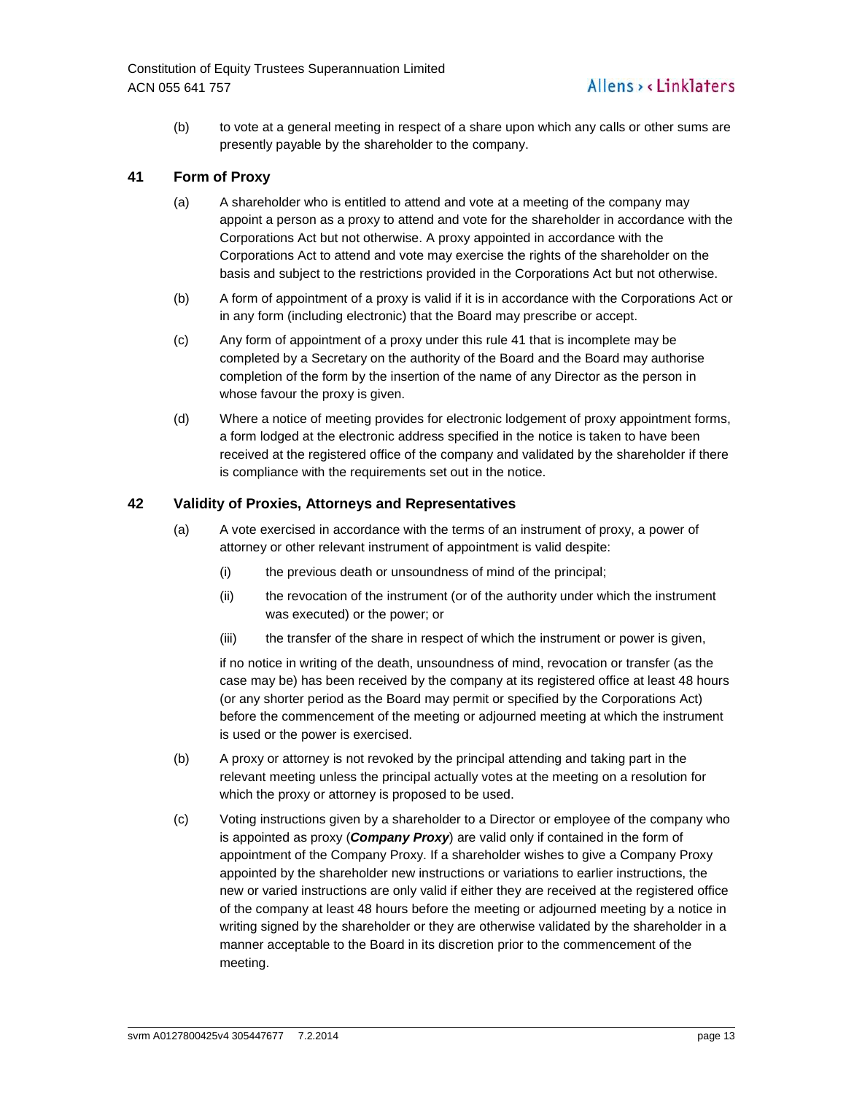(b) to vote at a general meeting in respect of a share upon which any calls or other sums are presently payable by the shareholder to the company.

# **41 Form of Proxy**

- (a) A shareholder who is entitled to attend and vote at a meeting of the company may appoint a person as a proxy to attend and vote for the shareholder in accordance with the Corporations Act but not otherwise. A proxy appointed in accordance with the Corporations Act to attend and vote may exercise the rights of the shareholder on the basis and subject to the restrictions provided in the Corporations Act but not otherwise.
- (b) A form of appointment of a proxy is valid if it is in accordance with the Corporations Act or in any form (including electronic) that the Board may prescribe or accept.
- (c) Any form of appointment of a proxy under this rule 41 that is incomplete may be completed by a Secretary on the authority of the Board and the Board may authorise completion of the form by the insertion of the name of any Director as the person in whose favour the proxy is given.
- (d) Where a notice of meeting provides for electronic lodgement of proxy appointment forms, a form lodged at the electronic address specified in the notice is taken to have been received at the registered office of the company and validated by the shareholder if there is compliance with the requirements set out in the notice.

# **42 Validity of Proxies, Attorneys and Representatives**

- (a) A vote exercised in accordance with the terms of an instrument of proxy, a power of attorney or other relevant instrument of appointment is valid despite:
	- (i) the previous death or unsoundness of mind of the principal;
	- (ii) the revocation of the instrument (or of the authority under which the instrument was executed) or the power; or
	- (iii) the transfer of the share in respect of which the instrument or power is given,

if no notice in writing of the death, unsoundness of mind, revocation or transfer (as the case may be) has been received by the company at its registered office at least 48 hours (or any shorter period as the Board may permit or specified by the Corporations Act) before the commencement of the meeting or adjourned meeting at which the instrument is used or the power is exercised.

- (b) A proxy or attorney is not revoked by the principal attending and taking part in the relevant meeting unless the principal actually votes at the meeting on a resolution for which the proxy or attorney is proposed to be used.
- (c) Voting instructions given by a shareholder to a Director or employee of the company who is appointed as proxy (**Company Proxy**) are valid only if contained in the form of appointment of the Company Proxy. If a shareholder wishes to give a Company Proxy appointed by the shareholder new instructions or variations to earlier instructions, the new or varied instructions are only valid if either they are received at the registered office of the company at least 48 hours before the meeting or adjourned meeting by a notice in writing signed by the shareholder or they are otherwise validated by the shareholder in a manner acceptable to the Board in its discretion prior to the commencement of the meeting.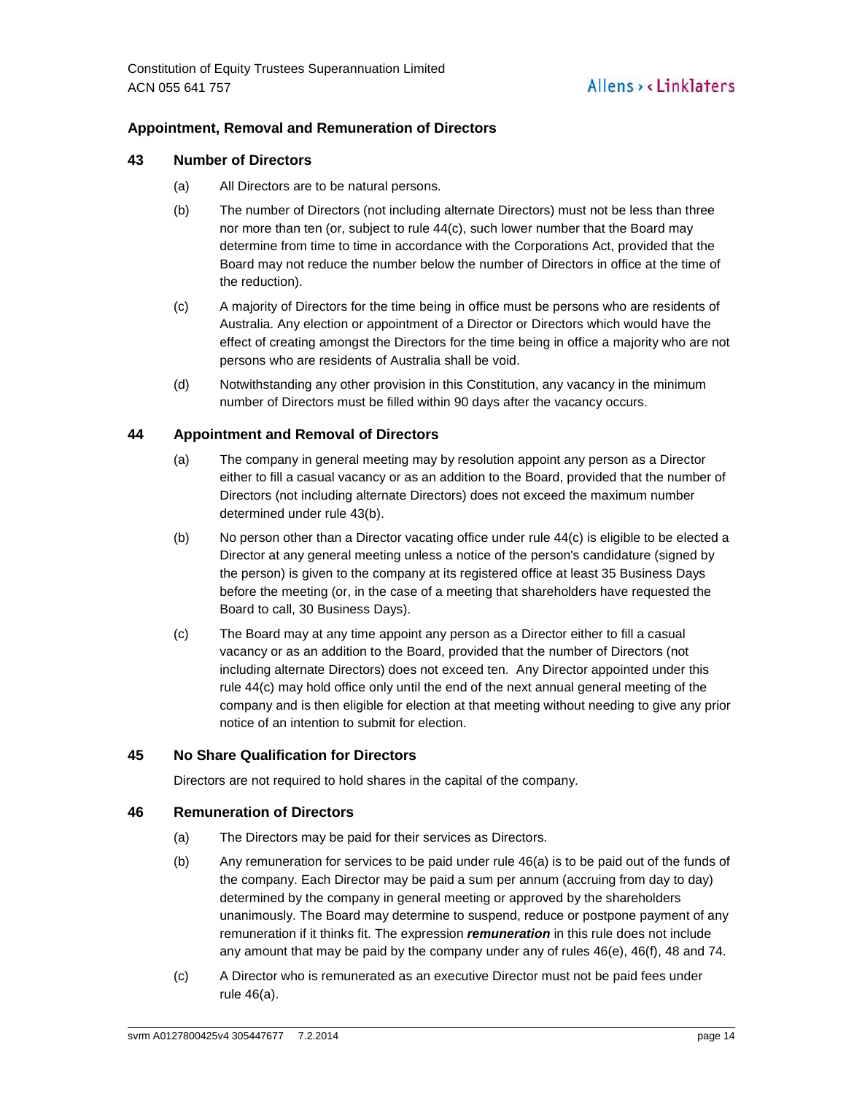# **Appointment, Removal and Remuneration of Directors**

#### **43 Number of Directors**

- (a) All Directors are to be natural persons.
- (b) The number of Directors (not including alternate Directors) must not be less than three nor more than ten (or, subject to rule 44(c), such lower number that the Board may determine from time to time in accordance with the Corporations Act, provided that the Board may not reduce the number below the number of Directors in office at the time of the reduction).
- (c) A majority of Directors for the time being in office must be persons who are residents of Australia. Any election or appointment of a Director or Directors which would have the effect of creating amongst the Directors for the time being in office a majority who are not persons who are residents of Australia shall be void.
- (d) Notwithstanding any other provision in this Constitution, any vacancy in the minimum number of Directors must be filled within 90 days after the vacancy occurs.

# **44 Appointment and Removal of Directors**

- (a) The company in general meeting may by resolution appoint any person as a Director either to fill a casual vacancy or as an addition to the Board, provided that the number of Directors (not including alternate Directors) does not exceed the maximum number determined under rule 43(b).
- (b) No person other than a Director vacating office under rule 44(c) is eligible to be elected a Director at any general meeting unless a notice of the person's candidature (signed by the person) is given to the company at its registered office at least 35 Business Days before the meeting (or, in the case of a meeting that shareholders have requested the Board to call, 30 Business Days).
- (c) The Board may at any time appoint any person as a Director either to fill a casual vacancy or as an addition to the Board, provided that the number of Directors (not including alternate Directors) does not exceed ten. Any Director appointed under this rule 44(c) may hold office only until the end of the next annual general meeting of the company and is then eligible for election at that meeting without needing to give any prior notice of an intention to submit for election.

# **45 No Share Qualification for Directors**

Directors are not required to hold shares in the capital of the company.

#### **46 Remuneration of Directors**

- (a) The Directors may be paid for their services as Directors.
- (b) Any remuneration for services to be paid under rule 46(a) is to be paid out of the funds of the company. Each Director may be paid a sum per annum (accruing from day to day) determined by the company in general meeting or approved by the shareholders unanimously. The Board may determine to suspend, reduce or postpone payment of any remuneration if it thinks fit. The expression **remuneration** in this rule does not include any amount that may be paid by the company under any of rules 46(e), 46(f), 48 and 74.
- (c) A Director who is remunerated as an executive Director must not be paid fees under rule 46(a).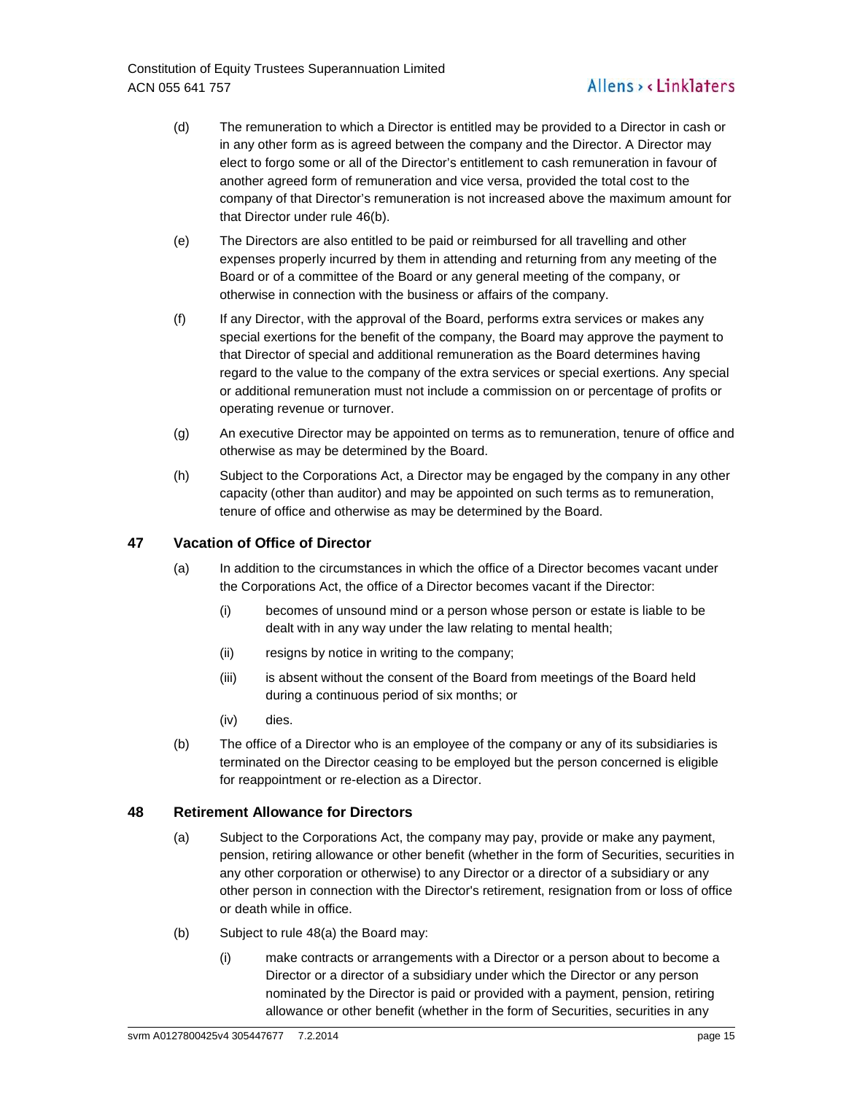Constitution of Equity Trustees Superannuation Limited ACN 055 641 757

# Allens > < Linklaters

- (d) The remuneration to which a Director is entitled may be provided to a Director in cash or in any other form as is agreed between the company and the Director. A Director may elect to forgo some or all of the Director's entitlement to cash remuneration in favour of another agreed form of remuneration and vice versa, provided the total cost to the company of that Director's remuneration is not increased above the maximum amount for that Director under rule 46(b).
- (e) The Directors are also entitled to be paid or reimbursed for all travelling and other expenses properly incurred by them in attending and returning from any meeting of the Board or of a committee of the Board or any general meeting of the company, or otherwise in connection with the business or affairs of the company.
- (f) If any Director, with the approval of the Board, performs extra services or makes any special exertions for the benefit of the company, the Board may approve the payment to that Director of special and additional remuneration as the Board determines having regard to the value to the company of the extra services or special exertions. Any special or additional remuneration must not include a commission on or percentage of profits or operating revenue or turnover.
- (g) An executive Director may be appointed on terms as to remuneration, tenure of office and otherwise as may be determined by the Board.
- (h) Subject to the Corporations Act, a Director may be engaged by the company in any other capacity (other than auditor) and may be appointed on such terms as to remuneration, tenure of office and otherwise as may be determined by the Board.

# **47 Vacation of Office of Director**

- (a) In addition to the circumstances in which the office of a Director becomes vacant under the Corporations Act, the office of a Director becomes vacant if the Director:
	- (i) becomes of unsound mind or a person whose person or estate is liable to be dealt with in any way under the law relating to mental health;
	- (ii) resigns by notice in writing to the company;
	- (iii) is absent without the consent of the Board from meetings of the Board held during a continuous period of six months; or
	- (iv) dies.
- (b) The office of a Director who is an employee of the company or any of its subsidiaries is terminated on the Director ceasing to be employed but the person concerned is eligible for reappointment or re-election as a Director.

# **48 Retirement Allowance for Directors**

- (a) Subject to the Corporations Act, the company may pay, provide or make any payment, pension, retiring allowance or other benefit (whether in the form of Securities, securities in any other corporation or otherwise) to any Director or a director of a subsidiary or any other person in connection with the Director's retirement, resignation from or loss of office or death while in office.
- (b) Subject to rule 48(a) the Board may:
	- (i) make contracts or arrangements with a Director or a person about to become a Director or a director of a subsidiary under which the Director or any person nominated by the Director is paid or provided with a payment, pension, retiring allowance or other benefit (whether in the form of Securities, securities in any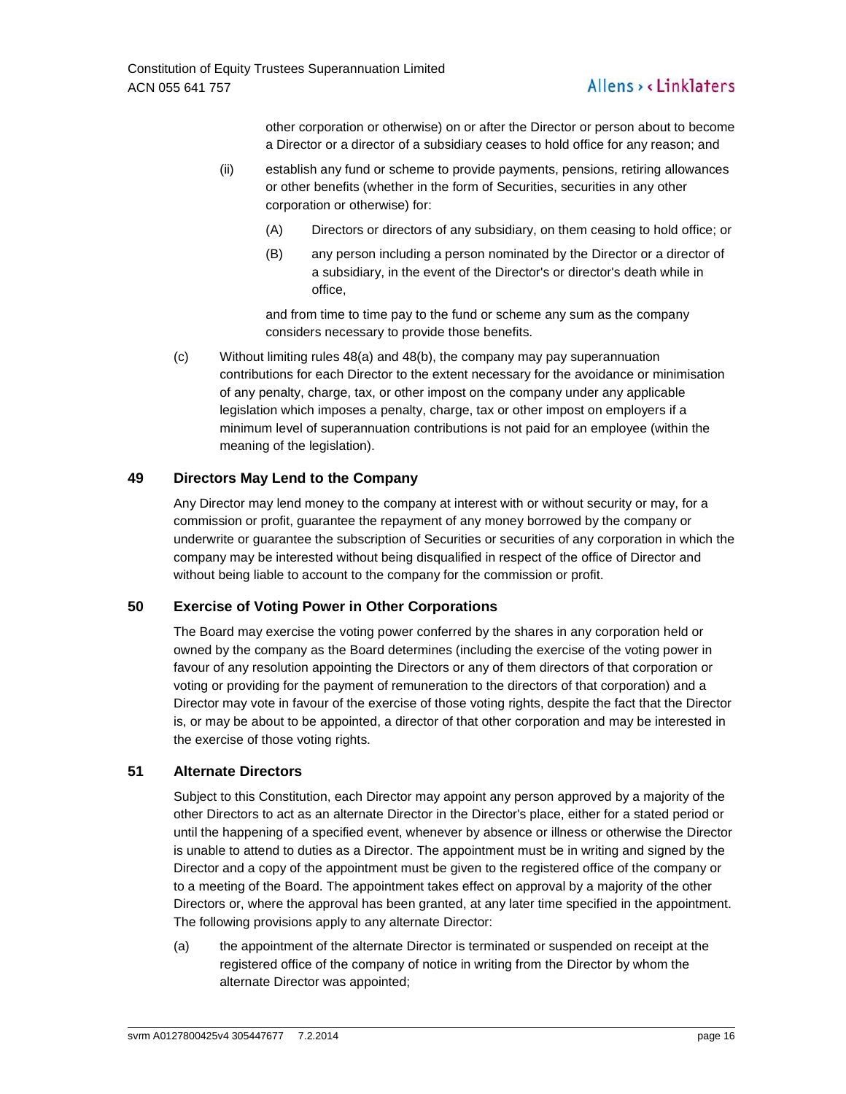# Allens > < Linklaters

other corporation or otherwise) on or after the Director or person about to become a Director or a director of a subsidiary ceases to hold office for any reason; and

- (ii) establish any fund or scheme to provide payments, pensions, retiring allowances or other benefits (whether in the form of Securities, securities in any other corporation or otherwise) for:
	- (A) Directors or directors of any subsidiary, on them ceasing to hold office; or
	- (B) any person including a person nominated by the Director or a director of a subsidiary, in the event of the Director's or director's death while in office,

and from time to time pay to the fund or scheme any sum as the company considers necessary to provide those benefits.

(c) Without limiting rules 48(a) and 48(b), the company may pay superannuation contributions for each Director to the extent necessary for the avoidance or minimisation of any penalty, charge, tax, or other impost on the company under any applicable legislation which imposes a penalty, charge, tax or other impost on employers if a minimum level of superannuation contributions is not paid for an employee (within the meaning of the legislation).

# **49 Directors May Lend to the Company**

Any Director may lend money to the company at interest with or without security or may, for a commission or profit, guarantee the repayment of any money borrowed by the company or underwrite or guarantee the subscription of Securities or securities of any corporation in which the company may be interested without being disqualified in respect of the office of Director and without being liable to account to the company for the commission or profit.

# **50 Exercise of Voting Power in Other Corporations**

The Board may exercise the voting power conferred by the shares in any corporation held or owned by the company as the Board determines (including the exercise of the voting power in favour of any resolution appointing the Directors or any of them directors of that corporation or voting or providing for the payment of remuneration to the directors of that corporation) and a Director may vote in favour of the exercise of those voting rights, despite the fact that the Director is, or may be about to be appointed, a director of that other corporation and may be interested in the exercise of those voting rights.

#### **51 Alternate Directors**

Subject to this Constitution, each Director may appoint any person approved by a majority of the other Directors to act as an alternate Director in the Director's place, either for a stated period or until the happening of a specified event, whenever by absence or illness or otherwise the Director is unable to attend to duties as a Director. The appointment must be in writing and signed by the Director and a copy of the appointment must be given to the registered office of the company or to a meeting of the Board. The appointment takes effect on approval by a majority of the other Directors or, where the approval has been granted, at any later time specified in the appointment. The following provisions apply to any alternate Director:

(a) the appointment of the alternate Director is terminated or suspended on receipt at the registered office of the company of notice in writing from the Director by whom the alternate Director was appointed;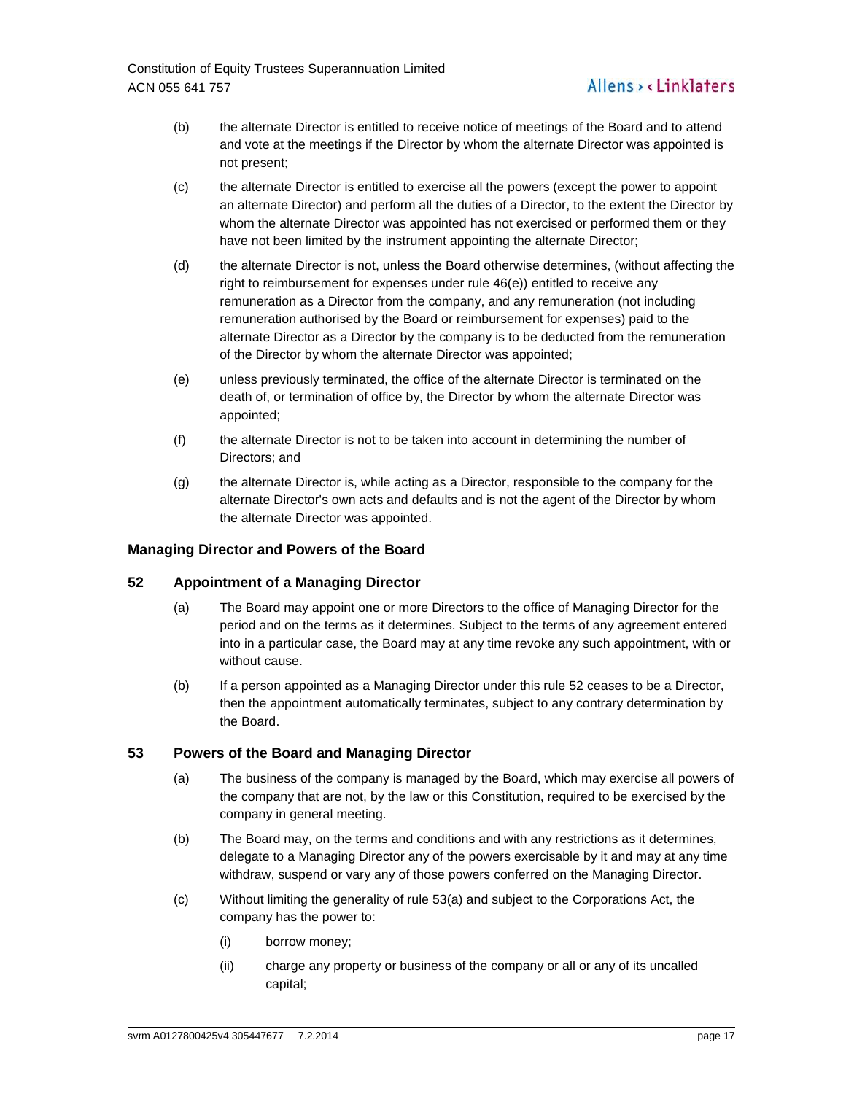- (b) the alternate Director is entitled to receive notice of meetings of the Board and to attend and vote at the meetings if the Director by whom the alternate Director was appointed is not present;
- (c) the alternate Director is entitled to exercise all the powers (except the power to appoint an alternate Director) and perform all the duties of a Director, to the extent the Director by whom the alternate Director was appointed has not exercised or performed them or they have not been limited by the instrument appointing the alternate Director;
- (d) the alternate Director is not, unless the Board otherwise determines, (without affecting the right to reimbursement for expenses under rule 46(e)) entitled to receive any remuneration as a Director from the company, and any remuneration (not including remuneration authorised by the Board or reimbursement for expenses) paid to the alternate Director as a Director by the company is to be deducted from the remuneration of the Director by whom the alternate Director was appointed;
- (e) unless previously terminated, the office of the alternate Director is terminated on the death of, or termination of office by, the Director by whom the alternate Director was appointed;
- (f) the alternate Director is not to be taken into account in determining the number of Directors; and
- (g) the alternate Director is, while acting as a Director, responsible to the company for the alternate Director's own acts and defaults and is not the agent of the Director by whom the alternate Director was appointed.

#### **Managing Director and Powers of the Board**

# **52 Appointment of a Managing Director**

- (a) The Board may appoint one or more Directors to the office of Managing Director for the period and on the terms as it determines. Subject to the terms of any agreement entered into in a particular case, the Board may at any time revoke any such appointment, with or without cause.
- (b) If a person appointed as a Managing Director under this rule 52 ceases to be a Director, then the appointment automatically terminates, subject to any contrary determination by the Board.

# **53 Powers of the Board and Managing Director**

- (a) The business of the company is managed by the Board, which may exercise all powers of the company that are not, by the law or this Constitution, required to be exercised by the company in general meeting.
- (b) The Board may, on the terms and conditions and with any restrictions as it determines, delegate to a Managing Director any of the powers exercisable by it and may at any time withdraw, suspend or vary any of those powers conferred on the Managing Director.
- (c) Without limiting the generality of rule 53(a) and subject to the Corporations Act, the company has the power to:
	- (i) borrow money;
	- (ii) charge any property or business of the company or all or any of its uncalled capital;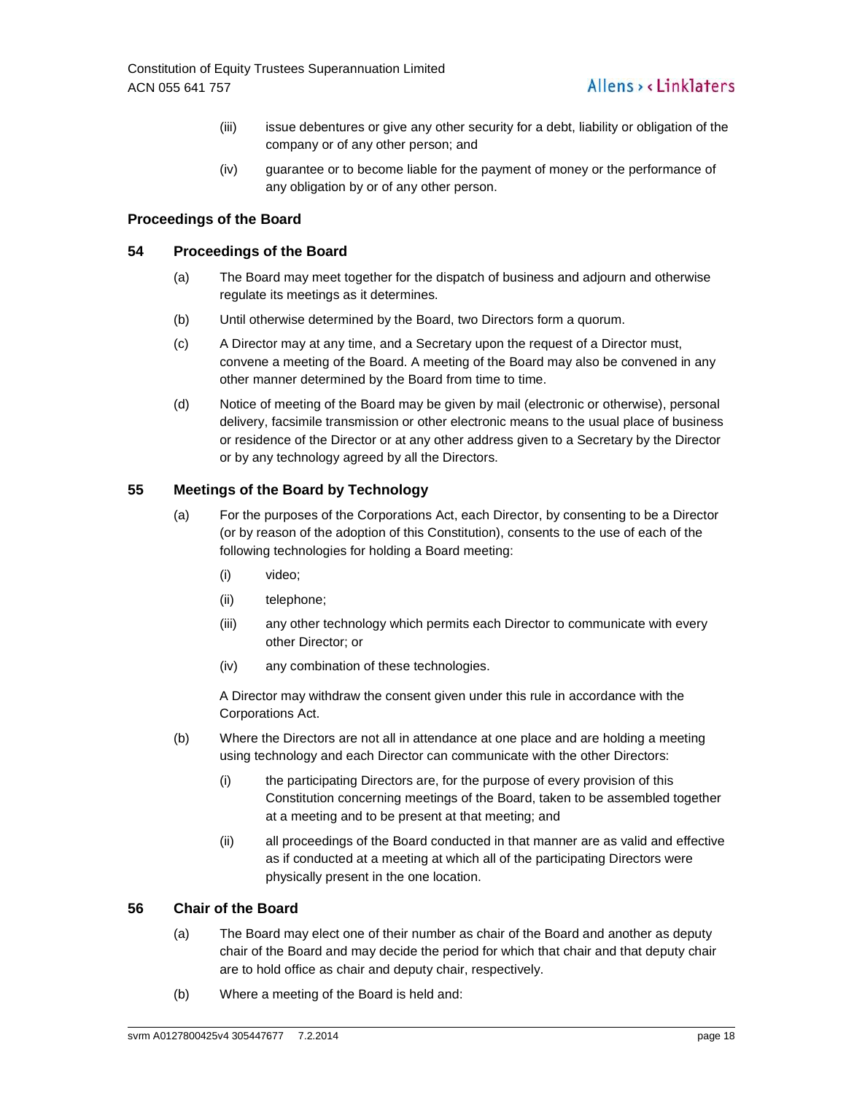- (iii) issue debentures or give any other security for a debt, liability or obligation of the company or of any other person; and
- (iv) guarantee or to become liable for the payment of money or the performance of any obligation by or of any other person.

# **Proceedings of the Board**

# **54 Proceedings of the Board**

- (a) The Board may meet together for the dispatch of business and adjourn and otherwise regulate its meetings as it determines.
- (b) Until otherwise determined by the Board, two Directors form a quorum.
- (c) A Director may at any time, and a Secretary upon the request of a Director must, convene a meeting of the Board. A meeting of the Board may also be convened in any other manner determined by the Board from time to time.
- (d) Notice of meeting of the Board may be given by mail (electronic or otherwise), personal delivery, facsimile transmission or other electronic means to the usual place of business or residence of the Director or at any other address given to a Secretary by the Director or by any technology agreed by all the Directors.

# **55 Meetings of the Board by Technology**

- (a) For the purposes of the Corporations Act, each Director, by consenting to be a Director (or by reason of the adoption of this Constitution), consents to the use of each of the following technologies for holding a Board meeting:
	- (i) video;
	- (ii) telephone;
	- (iii) any other technology which permits each Director to communicate with every other Director; or
	- (iv) any combination of these technologies.

A Director may withdraw the consent given under this rule in accordance with the Corporations Act.

- (b) Where the Directors are not all in attendance at one place and are holding a meeting using technology and each Director can communicate with the other Directors:
	- (i) the participating Directors are, for the purpose of every provision of this Constitution concerning meetings of the Board, taken to be assembled together at a meeting and to be present at that meeting; and
	- (ii) all proceedings of the Board conducted in that manner are as valid and effective as if conducted at a meeting at which all of the participating Directors were physically present in the one location.

# **56 Chair of the Board**

- (a) The Board may elect one of their number as chair of the Board and another as deputy chair of the Board and may decide the period for which that chair and that deputy chair are to hold office as chair and deputy chair, respectively.
- (b) Where a meeting of the Board is held and: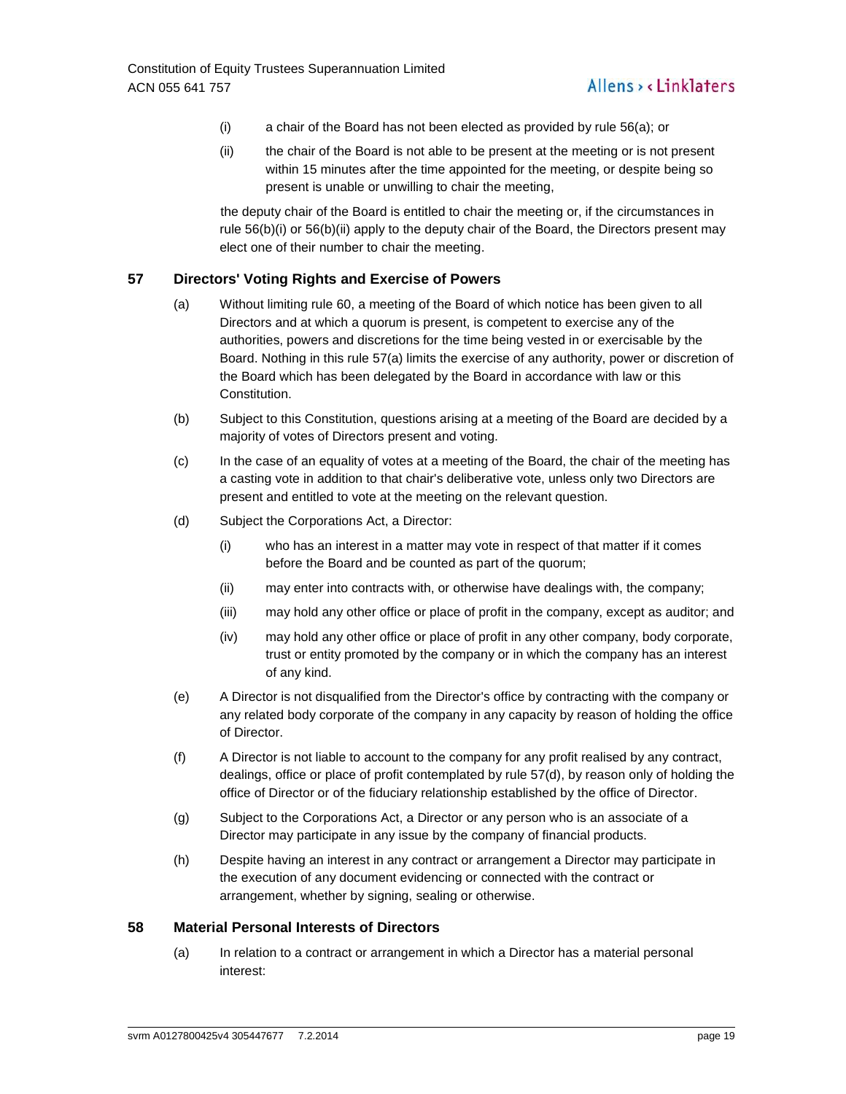- (i) a chair of the Board has not been elected as provided by rule 56(a); or
- (ii) the chair of the Board is not able to be present at the meeting or is not present within 15 minutes after the time appointed for the meeting, or despite being so present is unable or unwilling to chair the meeting,

the deputy chair of the Board is entitled to chair the meeting or, if the circumstances in rule 56(b)(i) or 56(b)(ii) apply to the deputy chair of the Board, the Directors present may elect one of their number to chair the meeting.

# **57 Directors' Voting Rights and Exercise of Powers**

- (a) Without limiting rule 60, a meeting of the Board of which notice has been given to all Directors and at which a quorum is present, is competent to exercise any of the authorities, powers and discretions for the time being vested in or exercisable by the Board. Nothing in this rule 57(a) limits the exercise of any authority, power or discretion of the Board which has been delegated by the Board in accordance with law or this Constitution.
- (b) Subject to this Constitution, questions arising at a meeting of the Board are decided by a majority of votes of Directors present and voting.
- (c) In the case of an equality of votes at a meeting of the Board, the chair of the meeting has a casting vote in addition to that chair's deliberative vote, unless only two Directors are present and entitled to vote at the meeting on the relevant question.
- (d) Subject the Corporations Act, a Director:
	- (i) who has an interest in a matter may vote in respect of that matter if it comes before the Board and be counted as part of the quorum;
	- (ii) may enter into contracts with, or otherwise have dealings with, the company;
	- (iii) may hold any other office or place of profit in the company, except as auditor; and
	- (iv) may hold any other office or place of profit in any other company, body corporate, trust or entity promoted by the company or in which the company has an interest of any kind.
- (e) A Director is not disqualified from the Director's office by contracting with the company or any related body corporate of the company in any capacity by reason of holding the office of Director.
- (f) A Director is not liable to account to the company for any profit realised by any contract, dealings, office or place of profit contemplated by rule 57(d), by reason only of holding the office of Director or of the fiduciary relationship established by the office of Director.
- (g) Subject to the Corporations Act, a Director or any person who is an associate of a Director may participate in any issue by the company of financial products.
- (h) Despite having an interest in any contract or arrangement a Director may participate in the execution of any document evidencing or connected with the contract or arrangement, whether by signing, sealing or otherwise.

#### **58 Material Personal Interests of Directors**

(a) In relation to a contract or arrangement in which a Director has a material personal interest: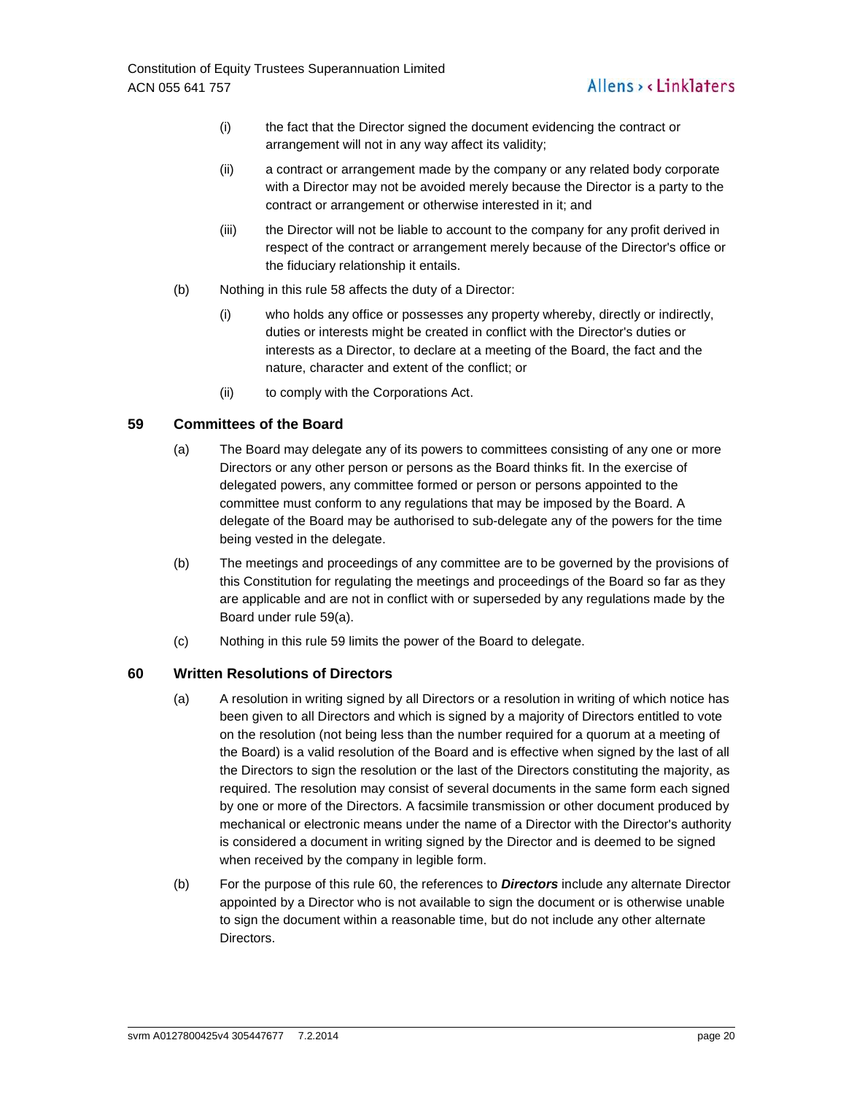- (i) the fact that the Director signed the document evidencing the contract or arrangement will not in any way affect its validity;
- (ii) a contract or arrangement made by the company or any related body corporate with a Director may not be avoided merely because the Director is a party to the contract or arrangement or otherwise interested in it; and
- (iii) the Director will not be liable to account to the company for any profit derived in respect of the contract or arrangement merely because of the Director's office or the fiduciary relationship it entails.
- (b) Nothing in this rule 58 affects the duty of a Director:
	- (i) who holds any office or possesses any property whereby, directly or indirectly, duties or interests might be created in conflict with the Director's duties or interests as a Director, to declare at a meeting of the Board, the fact and the nature, character and extent of the conflict; or
	- (ii) to comply with the Corporations Act.

# **59 Committees of the Board**

- (a) The Board may delegate any of its powers to committees consisting of any one or more Directors or any other person or persons as the Board thinks fit. In the exercise of delegated powers, any committee formed or person or persons appointed to the committee must conform to any regulations that may be imposed by the Board. A delegate of the Board may be authorised to sub-delegate any of the powers for the time being vested in the delegate.
- (b) The meetings and proceedings of any committee are to be governed by the provisions of this Constitution for regulating the meetings and proceedings of the Board so far as they are applicable and are not in conflict with or superseded by any regulations made by the Board under rule 59(a).
- (c) Nothing in this rule 59 limits the power of the Board to delegate.

# **60 Written Resolutions of Directors**

- (a) A resolution in writing signed by all Directors or a resolution in writing of which notice has been given to all Directors and which is signed by a majority of Directors entitled to vote on the resolution (not being less than the number required for a quorum at a meeting of the Board) is a valid resolution of the Board and is effective when signed by the last of all the Directors to sign the resolution or the last of the Directors constituting the majority, as required. The resolution may consist of several documents in the same form each signed by one or more of the Directors. A facsimile transmission or other document produced by mechanical or electronic means under the name of a Director with the Director's authority is considered a document in writing signed by the Director and is deemed to be signed when received by the company in legible form.
- (b) For the purpose of this rule 60, the references to **Directors** include any alternate Director appointed by a Director who is not available to sign the document or is otherwise unable to sign the document within a reasonable time, but do not include any other alternate Directors.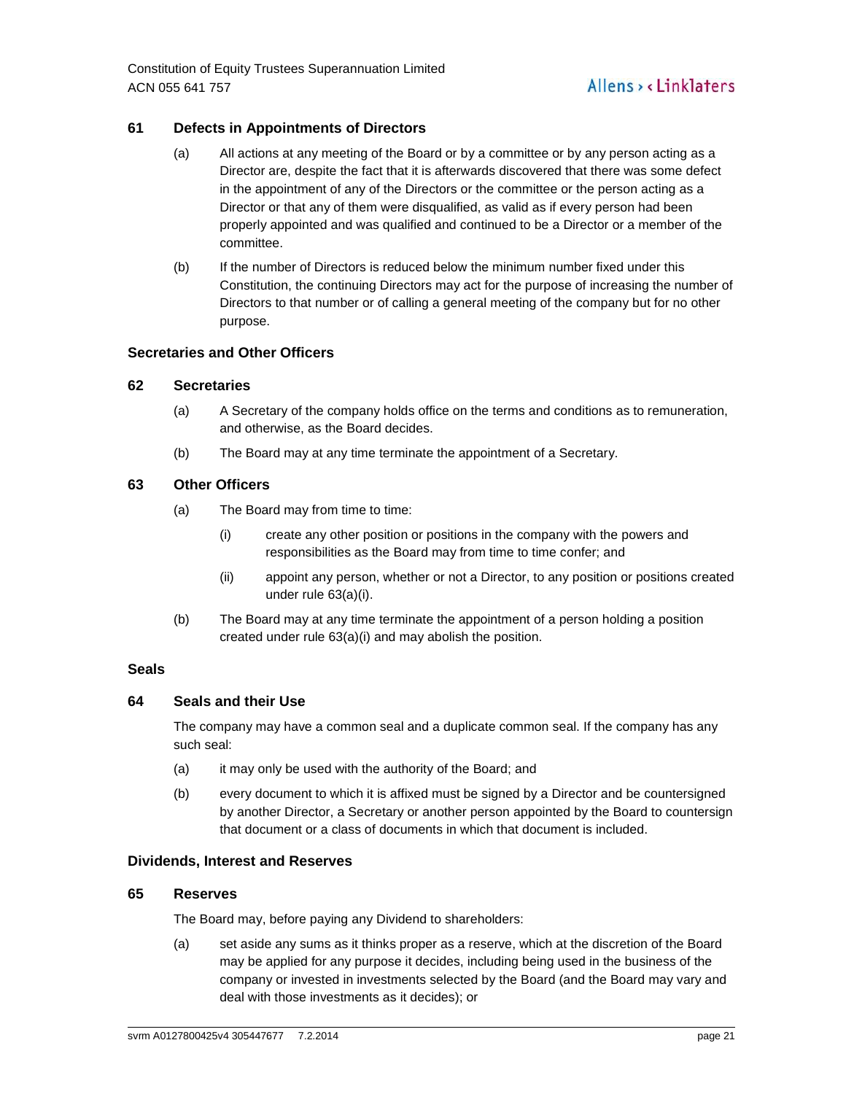Constitution of Equity Trustees Superannuation Limited ACN 055 641 757

# **61 Defects in Appointments of Directors**

- (a) All actions at any meeting of the Board or by a committee or by any person acting as a Director are, despite the fact that it is afterwards discovered that there was some defect in the appointment of any of the Directors or the committee or the person acting as a Director or that any of them were disqualified, as valid as if every person had been properly appointed and was qualified and continued to be a Director or a member of the committee.
- (b) If the number of Directors is reduced below the minimum number fixed under this Constitution, the continuing Directors may act for the purpose of increasing the number of Directors to that number or of calling a general meeting of the company but for no other purpose.

# **Secretaries and Other Officers**

#### **62 Secretaries**

- (a) A Secretary of the company holds office on the terms and conditions as to remuneration, and otherwise, as the Board decides.
- (b) The Board may at any time terminate the appointment of a Secretary.

# **63 Other Officers**

- (a) The Board may from time to time:
	- (i) create any other position or positions in the company with the powers and responsibilities as the Board may from time to time confer; and
	- (ii) appoint any person, whether or not a Director, to any position or positions created under rule 63(a)(i).
- (b) The Board may at any time terminate the appointment of a person holding a position created under rule 63(a)(i) and may abolish the position.

### **Seals**

#### **64 Seals and their Use**

The company may have a common seal and a duplicate common seal. If the company has any such seal:

- (a) it may only be used with the authority of the Board; and
- (b) every document to which it is affixed must be signed by a Director and be countersigned by another Director, a Secretary or another person appointed by the Board to countersign that document or a class of documents in which that document is included.

#### **Dividends, Interest and Reserves**

#### **65 Reserves**

The Board may, before paying any Dividend to shareholders:

(a) set aside any sums as it thinks proper as a reserve, which at the discretion of the Board may be applied for any purpose it decides, including being used in the business of the company or invested in investments selected by the Board (and the Board may vary and deal with those investments as it decides); or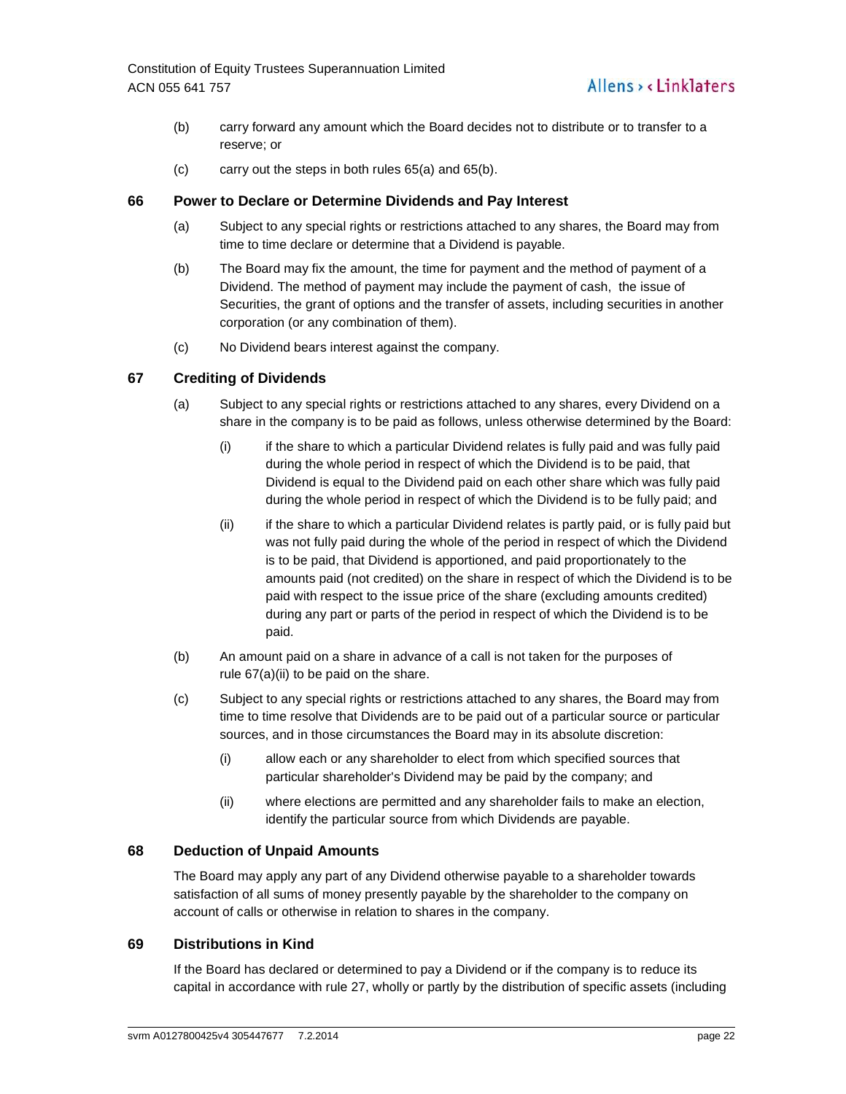- (b) carry forward any amount which the Board decides not to distribute or to transfer to a reserve; or
- (c) carry out the steps in both rules 65(a) and 65(b).

# **66 Power to Declare or Determine Dividends and Pay Interest**

- (a) Subject to any special rights or restrictions attached to any shares, the Board may from time to time declare or determine that a Dividend is payable.
- (b) The Board may fix the amount, the time for payment and the method of payment of a Dividend. The method of payment may include the payment of cash, the issue of Securities, the grant of options and the transfer of assets, including securities in another corporation (or any combination of them).
- (c) No Dividend bears interest against the company.

# **67 Crediting of Dividends**

- (a) Subject to any special rights or restrictions attached to any shares, every Dividend on a share in the company is to be paid as follows, unless otherwise determined by the Board:
	- (i) if the share to which a particular Dividend relates is fully paid and was fully paid during the whole period in respect of which the Dividend is to be paid, that Dividend is equal to the Dividend paid on each other share which was fully paid during the whole period in respect of which the Dividend is to be fully paid; and
	- (ii) if the share to which a particular Dividend relates is partly paid, or is fully paid but was not fully paid during the whole of the period in respect of which the Dividend is to be paid, that Dividend is apportioned, and paid proportionately to the amounts paid (not credited) on the share in respect of which the Dividend is to be paid with respect to the issue price of the share (excluding amounts credited) during any part or parts of the period in respect of which the Dividend is to be paid.
- (b) An amount paid on a share in advance of a call is not taken for the purposes of rule 67(a)(ii) to be paid on the share.
- (c) Subject to any special rights or restrictions attached to any shares, the Board may from time to time resolve that Dividends are to be paid out of a particular source or particular sources, and in those circumstances the Board may in its absolute discretion:
	- (i) allow each or any shareholder to elect from which specified sources that particular shareholder's Dividend may be paid by the company; and
	- (ii) where elections are permitted and any shareholder fails to make an election, identify the particular source from which Dividends are payable.

# **68 Deduction of Unpaid Amounts**

The Board may apply any part of any Dividend otherwise payable to a shareholder towards satisfaction of all sums of money presently payable by the shareholder to the company on account of calls or otherwise in relation to shares in the company.

# **69 Distributions in Kind**

If the Board has declared or determined to pay a Dividend or if the company is to reduce its capital in accordance with rule 27, wholly or partly by the distribution of specific assets (including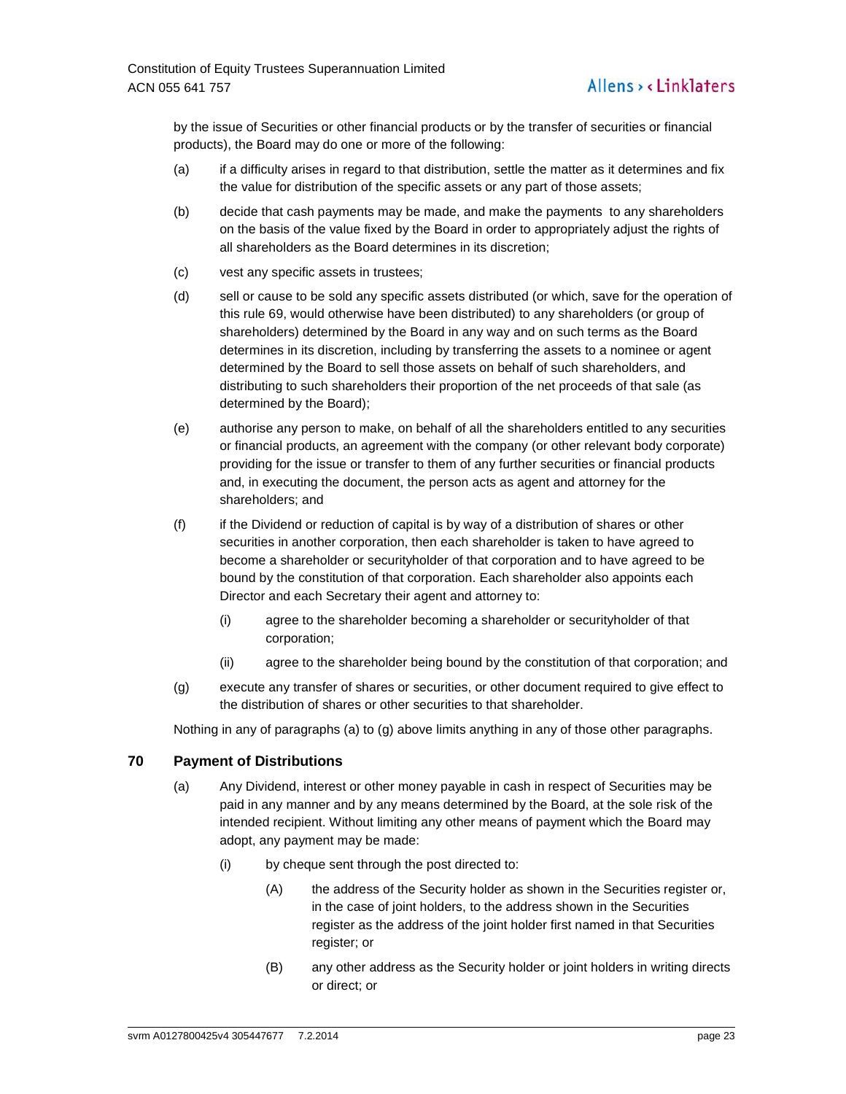by the issue of Securities or other financial products or by the transfer of securities or financial products), the Board may do one or more of the following:

- (a) if a difficulty arises in regard to that distribution, settle the matter as it determines and fix the value for distribution of the specific assets or any part of those assets;
- (b) decide that cash payments may be made, and make the payments to any shareholders on the basis of the value fixed by the Board in order to appropriately adjust the rights of all shareholders as the Board determines in its discretion;
- (c) vest any specific assets in trustees;
- (d) sell or cause to be sold any specific assets distributed (or which, save for the operation of this rule 69, would otherwise have been distributed) to any shareholders (or group of shareholders) determined by the Board in any way and on such terms as the Board determines in its discretion, including by transferring the assets to a nominee or agent determined by the Board to sell those assets on behalf of such shareholders, and distributing to such shareholders their proportion of the net proceeds of that sale (as determined by the Board);
- (e) authorise any person to make, on behalf of all the shareholders entitled to any securities or financial products, an agreement with the company (or other relevant body corporate) providing for the issue or transfer to them of any further securities or financial products and, in executing the document, the person acts as agent and attorney for the shareholders; and
- (f) if the Dividend or reduction of capital is by way of a distribution of shares or other securities in another corporation, then each shareholder is taken to have agreed to become a shareholder or securityholder of that corporation and to have agreed to be bound by the constitution of that corporation. Each shareholder also appoints each Director and each Secretary their agent and attorney to:
	- (i) agree to the shareholder becoming a shareholder or securityholder of that corporation;
	- (ii) agree to the shareholder being bound by the constitution of that corporation; and
- (g) execute any transfer of shares or securities, or other document required to give effect to the distribution of shares or other securities to that shareholder.

Nothing in any of paragraphs (a) to (g) above limits anything in any of those other paragraphs.

# **70 Payment of Distributions**

- (a) Any Dividend, interest or other money payable in cash in respect of Securities may be paid in any manner and by any means determined by the Board, at the sole risk of the intended recipient. Without limiting any other means of payment which the Board may adopt, any payment may be made:
	- (i) by cheque sent through the post directed to:
		- (A) the address of the Security holder as shown in the Securities register or, in the case of joint holders, to the address shown in the Securities register as the address of the joint holder first named in that Securities register; or
		- (B) any other address as the Security holder or joint holders in writing directs or direct; or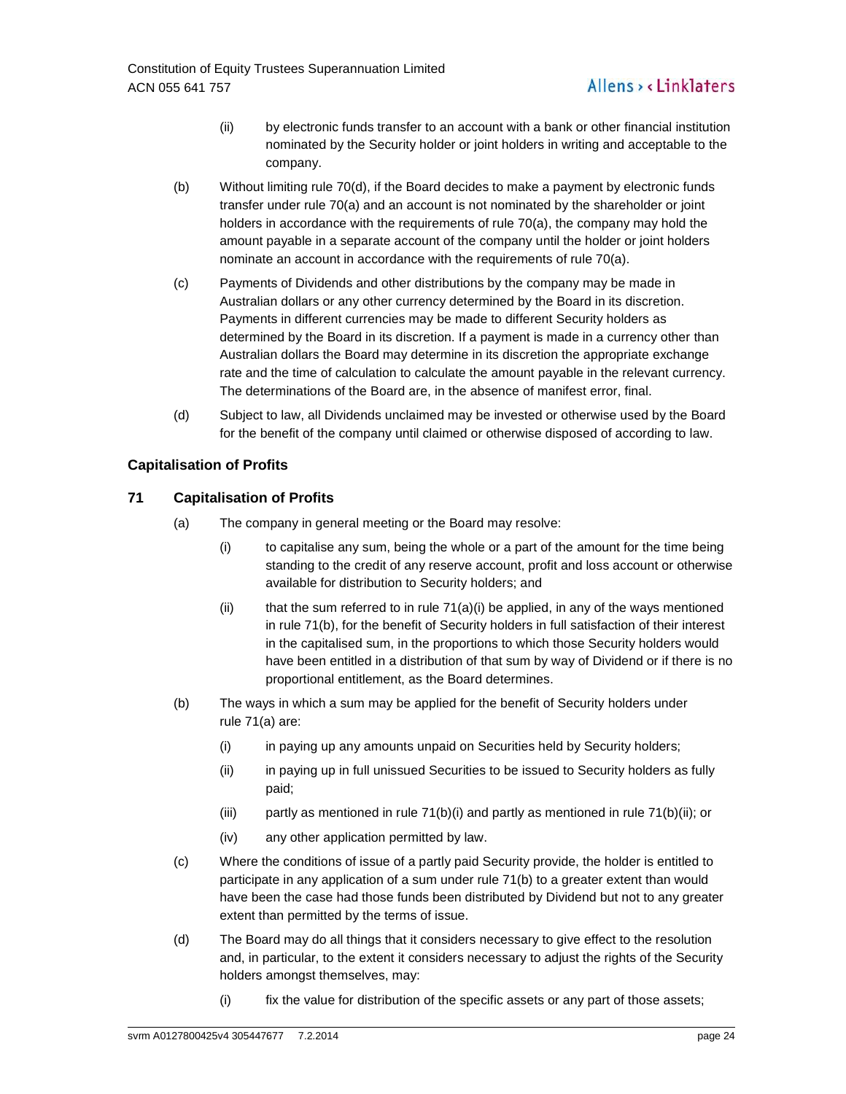- (ii) by electronic funds transfer to an account with a bank or other financial institution nominated by the Security holder or joint holders in writing and acceptable to the company.
- (b) Without limiting rule 70(d), if the Board decides to make a payment by electronic funds transfer under rule 70(a) and an account is not nominated by the shareholder or joint holders in accordance with the requirements of rule 70(a), the company may hold the amount payable in a separate account of the company until the holder or joint holders nominate an account in accordance with the requirements of rule 70(a).
- (c) Payments of Dividends and other distributions by the company may be made in Australian dollars or any other currency determined by the Board in its discretion. Payments in different currencies may be made to different Security holders as determined by the Board in its discretion. If a payment is made in a currency other than Australian dollars the Board may determine in its discretion the appropriate exchange rate and the time of calculation to calculate the amount payable in the relevant currency. The determinations of the Board are, in the absence of manifest error, final.
- (d) Subject to law, all Dividends unclaimed may be invested or otherwise used by the Board for the benefit of the company until claimed or otherwise disposed of according to law.

# **Capitalisation of Profits**

# **71 Capitalisation of Profits**

- (a) The company in general meeting or the Board may resolve:
	- (i) to capitalise any sum, being the whole or a part of the amount for the time being standing to the credit of any reserve account, profit and loss account or otherwise available for distribution to Security holders; and
	- (ii) that the sum referred to in rule  $71(a)(i)$  be applied, in any of the ways mentioned in rule 71(b), for the benefit of Security holders in full satisfaction of their interest in the capitalised sum, in the proportions to which those Security holders would have been entitled in a distribution of that sum by way of Dividend or if there is no proportional entitlement, as the Board determines.
- (b) The ways in which a sum may be applied for the benefit of Security holders under rule 71(a) are:
	- (i) in paying up any amounts unpaid on Securities held by Security holders;
	- (ii) in paying up in full unissued Securities to be issued to Security holders as fully paid;
	- (iii) partly as mentioned in rule  $71(b)(i)$  and partly as mentioned in rule  $71(b)(ii)$ ; or
	- (iv) any other application permitted by law.
- (c) Where the conditions of issue of a partly paid Security provide, the holder is entitled to participate in any application of a sum under rule 71(b) to a greater extent than would have been the case had those funds been distributed by Dividend but not to any greater extent than permitted by the terms of issue.
- (d) The Board may do all things that it considers necessary to give effect to the resolution and, in particular, to the extent it considers necessary to adjust the rights of the Security holders amongst themselves, may:
	- (i) fix the value for distribution of the specific assets or any part of those assets;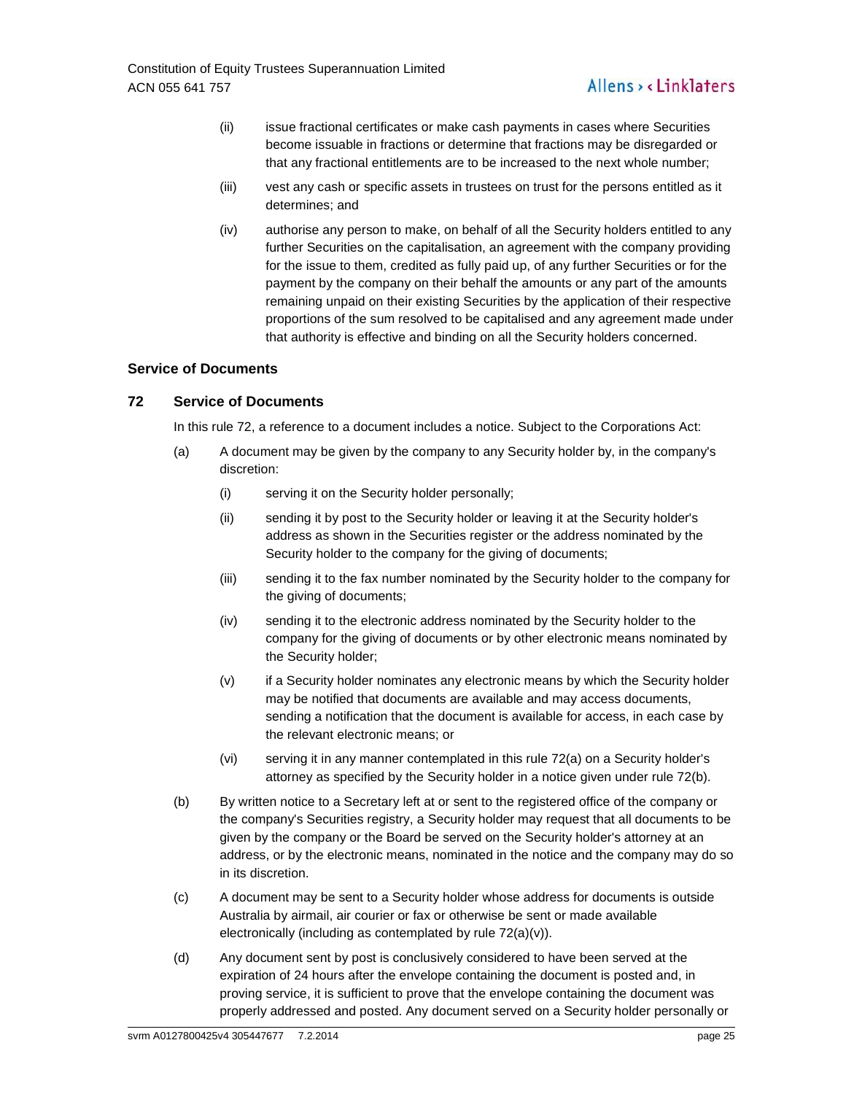- (ii) issue fractional certificates or make cash payments in cases where Securities become issuable in fractions or determine that fractions may be disregarded or that any fractional entitlements are to be increased to the next whole number;
- (iii) vest any cash or specific assets in trustees on trust for the persons entitled as it determines; and
- (iv) authorise any person to make, on behalf of all the Security holders entitled to any further Securities on the capitalisation, an agreement with the company providing for the issue to them, credited as fully paid up, of any further Securities or for the payment by the company on their behalf the amounts or any part of the amounts remaining unpaid on their existing Securities by the application of their respective proportions of the sum resolved to be capitalised and any agreement made under that authority is effective and binding on all the Security holders concerned.

# **Service of Documents**

# **72 Service of Documents**

In this rule 72, a reference to a document includes a notice. Subject to the Corporations Act:

- (a) A document may be given by the company to any Security holder by, in the company's discretion:
	- (i) serving it on the Security holder personally;
	- (ii) sending it by post to the Security holder or leaving it at the Security holder's address as shown in the Securities register or the address nominated by the Security holder to the company for the giving of documents;
	- (iii) sending it to the fax number nominated by the Security holder to the company for the giving of documents;
	- (iv) sending it to the electronic address nominated by the Security holder to the company for the giving of documents or by other electronic means nominated by the Security holder;
	- (v) if a Security holder nominates any electronic means by which the Security holder may be notified that documents are available and may access documents, sending a notification that the document is available for access, in each case by the relevant electronic means; or
	- (vi) serving it in any manner contemplated in this rule 72(a) on a Security holder's attorney as specified by the Security holder in a notice given under rule 72(b).
- (b) By written notice to a Secretary left at or sent to the registered office of the company or the company's Securities registry, a Security holder may request that all documents to be given by the company or the Board be served on the Security holder's attorney at an address, or by the electronic means, nominated in the notice and the company may do so in its discretion.
- (c) A document may be sent to a Security holder whose address for documents is outside Australia by airmail, air courier or fax or otherwise be sent or made available electronically (including as contemplated by rule 72(a)(v)).
- (d) Any document sent by post is conclusively considered to have been served at the expiration of 24 hours after the envelope containing the document is posted and, in proving service, it is sufficient to prove that the envelope containing the document was properly addressed and posted. Any document served on a Security holder personally or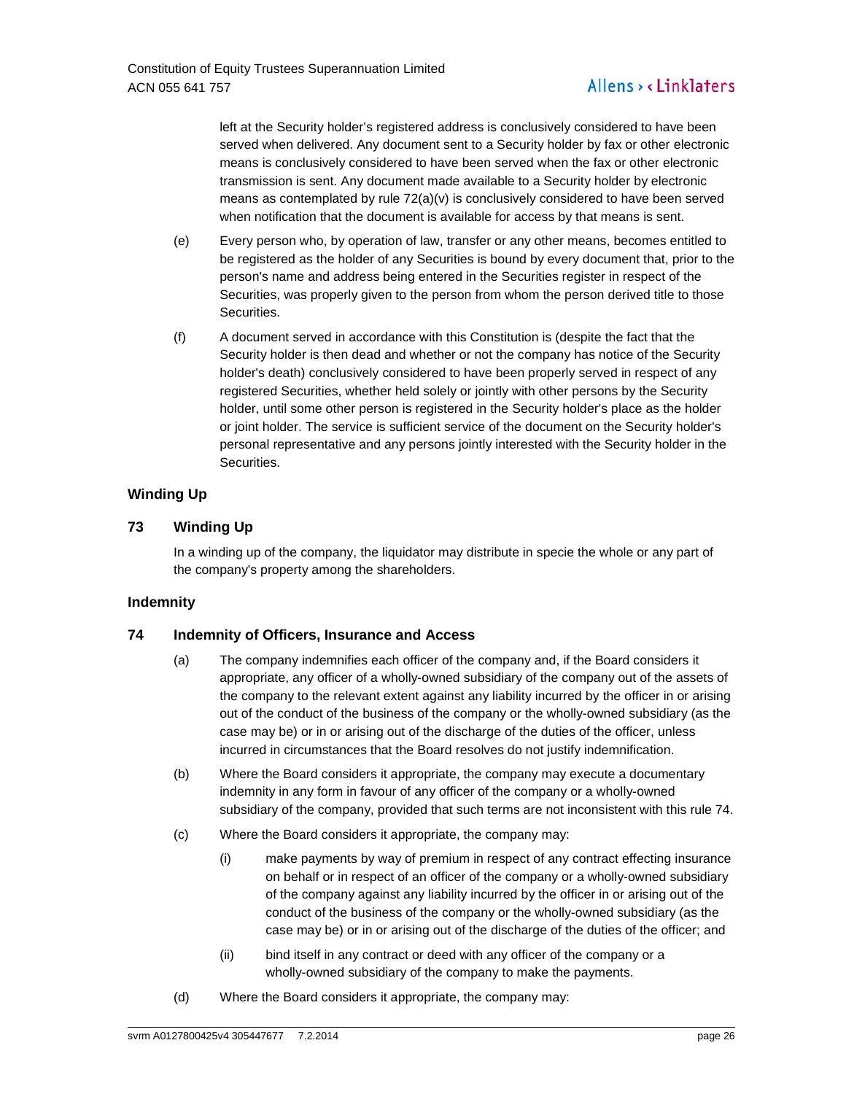left at the Security holder's registered address is conclusively considered to have been served when delivered. Any document sent to a Security holder by fax or other electronic means is conclusively considered to have been served when the fax or other electronic transmission is sent. Any document made available to a Security holder by electronic means as contemplated by rule  $72(a)(v)$  is conclusively considered to have been served when notification that the document is available for access by that means is sent.

- (e) Every person who, by operation of law, transfer or any other means, becomes entitled to be registered as the holder of any Securities is bound by every document that, prior to the person's name and address being entered in the Securities register in respect of the Securities, was properly given to the person from whom the person derived title to those Securities.
- (f) A document served in accordance with this Constitution is (despite the fact that the Security holder is then dead and whether or not the company has notice of the Security holder's death) conclusively considered to have been properly served in respect of any registered Securities, whether held solely or jointly with other persons by the Security holder, until some other person is registered in the Security holder's place as the holder or joint holder. The service is sufficient service of the document on the Security holder's personal representative and any persons jointly interested with the Security holder in the Securities.

# **Winding Up**

# **73 Winding Up**

In a winding up of the company, the liquidator may distribute in specie the whole or any part of the company's property among the shareholders.

# **Indemnity**

# **74 Indemnity of Officers, Insurance and Access**

- (a) The company indemnifies each officer of the company and, if the Board considers it appropriate, any officer of a wholly-owned subsidiary of the company out of the assets of the company to the relevant extent against any liability incurred by the officer in or arising out of the conduct of the business of the company or the wholly-owned subsidiary (as the case may be) or in or arising out of the discharge of the duties of the officer, unless incurred in circumstances that the Board resolves do not justify indemnification.
- (b) Where the Board considers it appropriate, the company may execute a documentary indemnity in any form in favour of any officer of the company or a wholly-owned subsidiary of the company, provided that such terms are not inconsistent with this rule 74.
- (c) Where the Board considers it appropriate, the company may:
	- (i) make payments by way of premium in respect of any contract effecting insurance on behalf or in respect of an officer of the company or a wholly-owned subsidiary of the company against any liability incurred by the officer in or arising out of the conduct of the business of the company or the wholly-owned subsidiary (as the case may be) or in or arising out of the discharge of the duties of the officer; and
	- (ii) bind itself in any contract or deed with any officer of the company or a wholly-owned subsidiary of the company to make the payments.
- (d) Where the Board considers it appropriate, the company may: